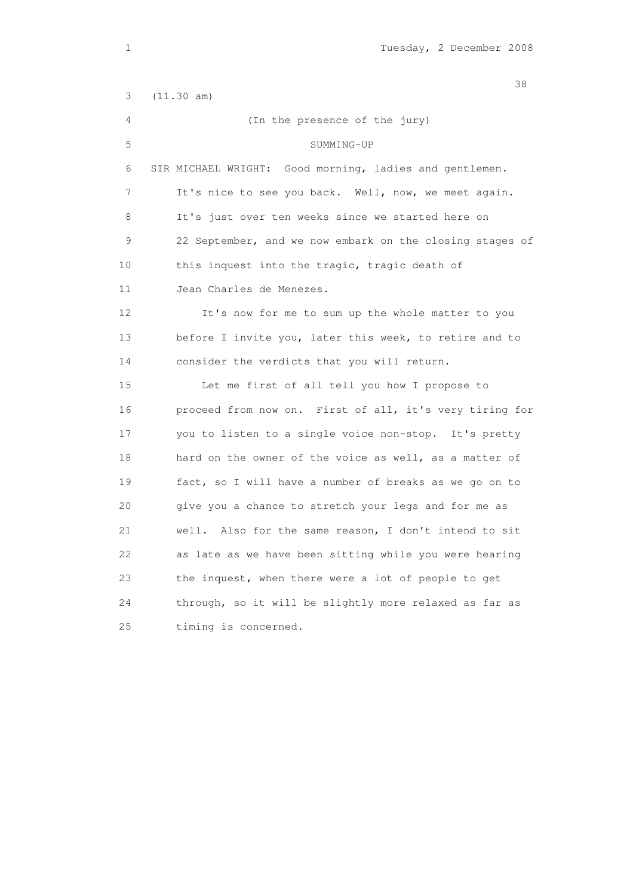and the state of the state of the state of the state of the state of the state of the state of the state of the 3 (11.30 am) 4 (In the presence of the jury) 5 SUMMING-UP 6 SIR MICHAEL WRIGHT: Good morning, ladies and gentlemen. 7 It's nice to see you back. Well, now, we meet again. 8 It's just over ten weeks since we started here on 9 22 September, and we now embark on the closing stages of 10 this inquest into the tragic, tragic death of 11 Jean Charles de Menezes. 12 It's now for me to sum up the whole matter to you 13 before I invite you, later this week, to retire and to 14 consider the verdicts that you will return. 15 Let me first of all tell you how I propose to 16 proceed from now on. First of all, it's very tiring for 17 you to listen to a single voice non-stop. It's pretty 18 hard on the owner of the voice as well, as a matter of 19 fact, so I will have a number of breaks as we go on to 20 give you a chance to stretch your legs and for me as 21 well. Also for the same reason, I don't intend to sit 22 as late as we have been sitting while you were hearing 23 the inquest, when there were a lot of people to get 24 through, so it will be slightly more relaxed as far as 25 timing is concerned.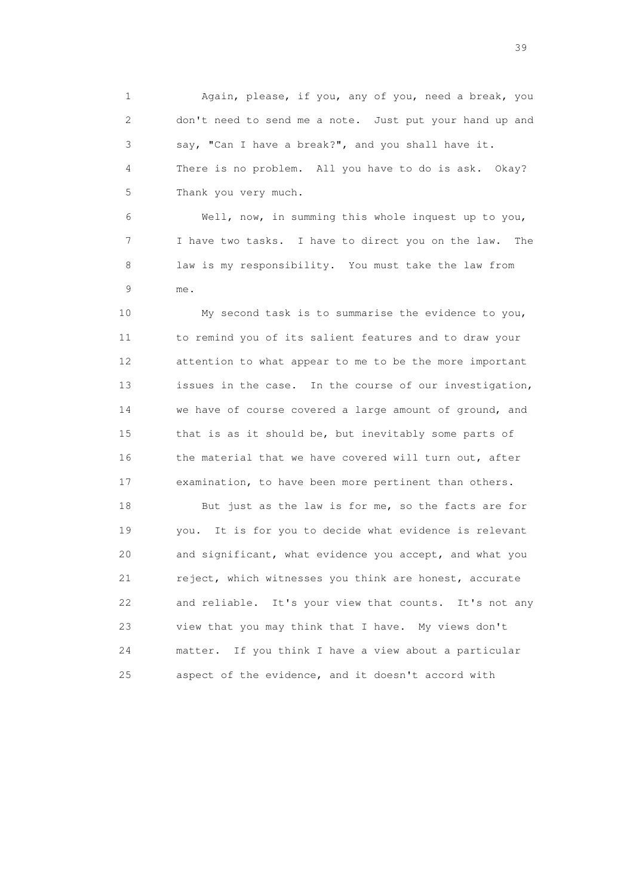1 Again, please, if you, any of you, need a break, you 2 don't need to send me a note. Just put your hand up and 3 say, "Can I have a break?", and you shall have it. 4 There is no problem. All you have to do is ask. Okay? 5 Thank you very much.

 6 Well, now, in summing this whole inquest up to you, 7 I have two tasks. I have to direct you on the law. The 8 law is my responsibility. You must take the law from 9 me.

 10 My second task is to summarise the evidence to you, 11 to remind you of its salient features and to draw your 12 attention to what appear to me to be the more important 13 issues in the case. In the course of our investigation, 14 we have of course covered a large amount of ground, and 15 that is as it should be, but inevitably some parts of 16 the material that we have covered will turn out, after 17 examination, to have been more pertinent than others.

18 But just as the law is for me, so the facts are for 19 you. It is for you to decide what evidence is relevant 20 and significant, what evidence you accept, and what you 21 reject, which witnesses you think are honest, accurate 22 and reliable. It's your view that counts. It's not any 23 view that you may think that I have. My views don't 24 matter. If you think I have a view about a particular 25 aspect of the evidence, and it doesn't accord with

 $39<sup>2</sup>$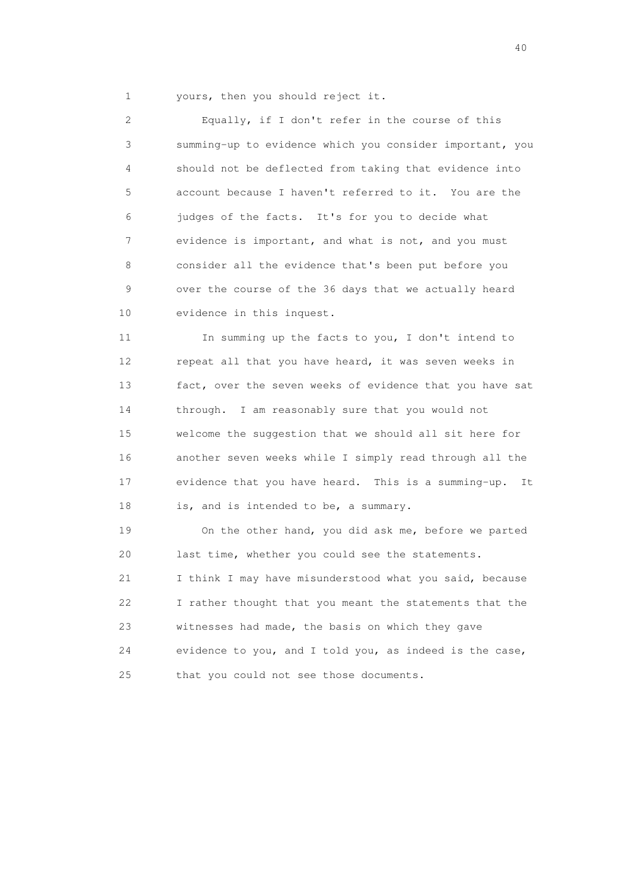1 yours, then you should reject it.

 2 Equally, if I don't refer in the course of this 3 summing-up to evidence which you consider important, you 4 should not be deflected from taking that evidence into 5 account because I haven't referred to it. You are the 6 judges of the facts. It's for you to decide what 7 evidence is important, and what is not, and you must 8 consider all the evidence that's been put before you 9 over the course of the 36 days that we actually heard 10 evidence in this inquest.

 11 In summing up the facts to you, I don't intend to 12 repeat all that you have heard, it was seven weeks in 13 fact, over the seven weeks of evidence that you have sat 14 through. I am reasonably sure that you would not 15 welcome the suggestion that we should all sit here for 16 another seven weeks while I simply read through all the 17 evidence that you have heard. This is a summing-up. It 18 is, and is intended to be, a summary.

 19 On the other hand, you did ask me, before we parted 20 last time, whether you could see the statements. 21 I think I may have misunderstood what you said, because 22 I rather thought that you meant the statements that the 23 witnesses had made, the basis on which they gave 24 evidence to you, and I told you, as indeed is the case, 25 that you could not see those documents.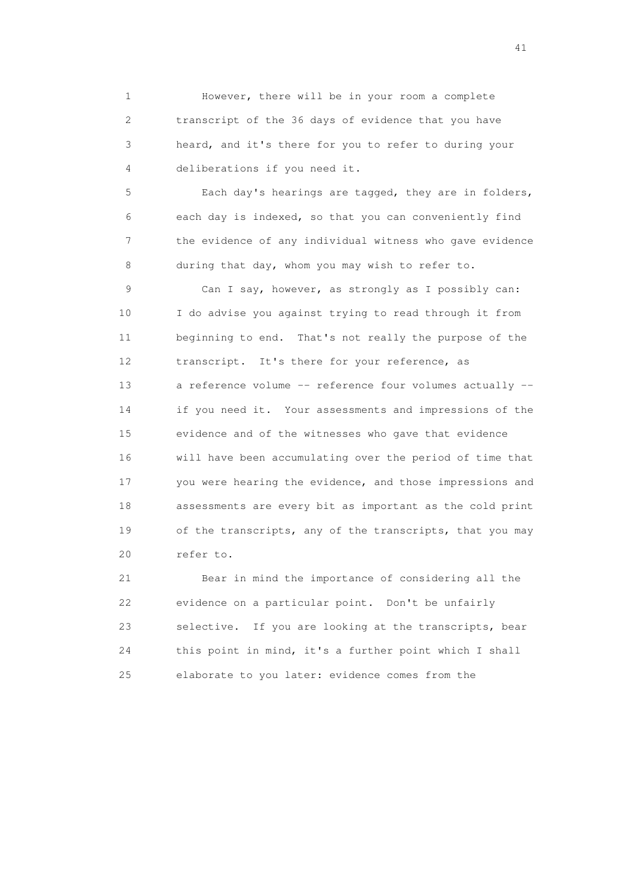1 However, there will be in your room a complete 2 transcript of the 36 days of evidence that you have 3 heard, and it's there for you to refer to during your 4 deliberations if you need it.

 5 Each day's hearings are tagged, they are in folders, 6 each day is indexed, so that you can conveniently find 7 the evidence of any individual witness who gave evidence 8 during that day, whom you may wish to refer to.

 9 Can I say, however, as strongly as I possibly can: 10 I do advise you against trying to read through it from 11 beginning to end. That's not really the purpose of the 12 transcript. It's there for your reference, as 13 a reference volume -- reference four volumes actually -- 14 if you need it. Your assessments and impressions of the 15 evidence and of the witnesses who gave that evidence 16 will have been accumulating over the period of time that 17 you were hearing the evidence, and those impressions and 18 assessments are every bit as important as the cold print 19 of the transcripts, any of the transcripts, that you may 20 refer to.

 21 Bear in mind the importance of considering all the 22 evidence on a particular point. Don't be unfairly 23 selective. If you are looking at the transcripts, bear 24 this point in mind, it's a further point which I shall 25 elaborate to you later: evidence comes from the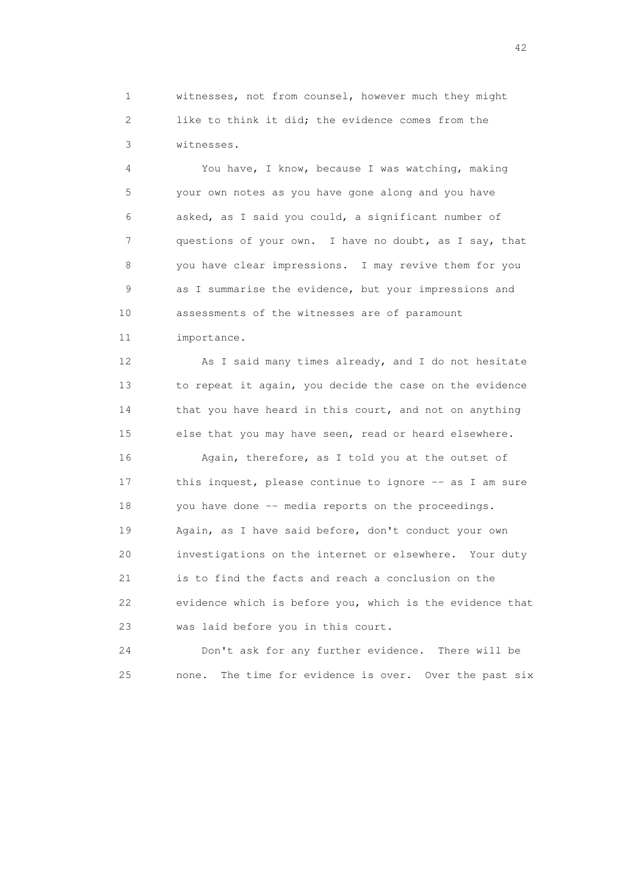1 witnesses, not from counsel, however much they might 2 like to think it did; the evidence comes from the 3 witnesses.

 4 You have, I know, because I was watching, making 5 your own notes as you have gone along and you have 6 asked, as I said you could, a significant number of 7 questions of your own. I have no doubt, as I say, that 8 you have clear impressions. I may revive them for you 9 as I summarise the evidence, but your impressions and 10 assessments of the witnesses are of paramount

11 importance.

 12 As I said many times already, and I do not hesitate 13 to repeat it again, you decide the case on the evidence 14 that you have heard in this court, and not on anything 15 else that you may have seen, read or heard elsewhere.

 16 Again, therefore, as I told you at the outset of 17 this inquest, please continue to ignore -- as I am sure 18 you have done -- media reports on the proceedings. 19 Again, as I have said before, don't conduct your own 20 investigations on the internet or elsewhere. Your duty 21 is to find the facts and reach a conclusion on the 22 evidence which is before you, which is the evidence that 23 was laid before you in this court.

 24 Don't ask for any further evidence. There will be 25 none. The time for evidence is over. Over the past six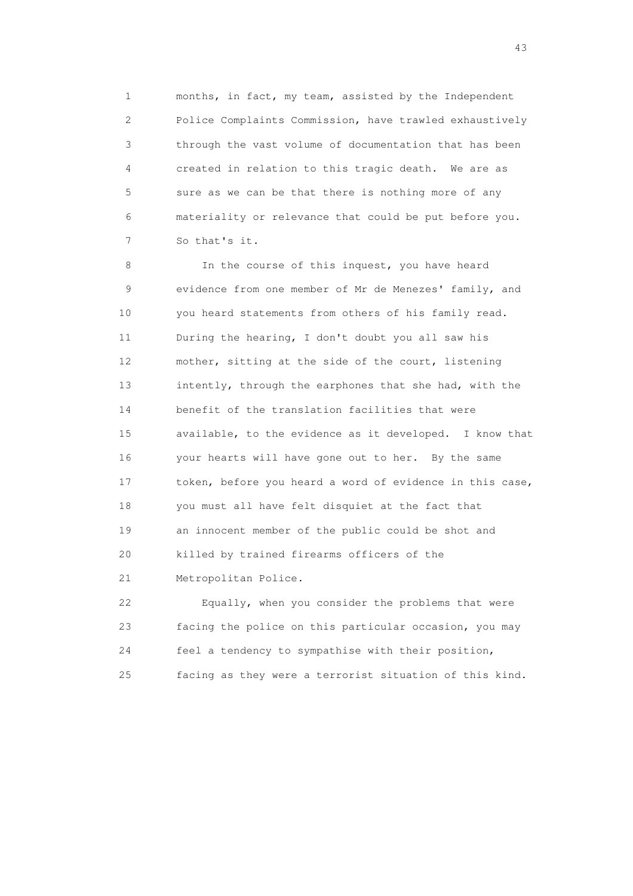1 months, in fact, my team, assisted by the Independent 2 Police Complaints Commission, have trawled exhaustively 3 through the vast volume of documentation that has been 4 created in relation to this tragic death. We are as 5 sure as we can be that there is nothing more of any 6 materiality or relevance that could be put before you. 7 So that's it.

8 In the course of this inquest, you have heard 9 evidence from one member of Mr de Menezes' family, and 10 you heard statements from others of his family read. 11 During the hearing, I don't doubt you all saw his 12 mother, sitting at the side of the court, listening 13 intently, through the earphones that she had, with the 14 benefit of the translation facilities that were 15 available, to the evidence as it developed. I know that 16 your hearts will have gone out to her. By the same 17 token, before you heard a word of evidence in this case, 18 you must all have felt disquiet at the fact that 19 an innocent member of the public could be shot and 20 killed by trained firearms officers of the 21 Metropolitan Police.

 22 Equally, when you consider the problems that were 23 facing the police on this particular occasion, you may 24 feel a tendency to sympathise with their position, 25 facing as they were a terrorist situation of this kind.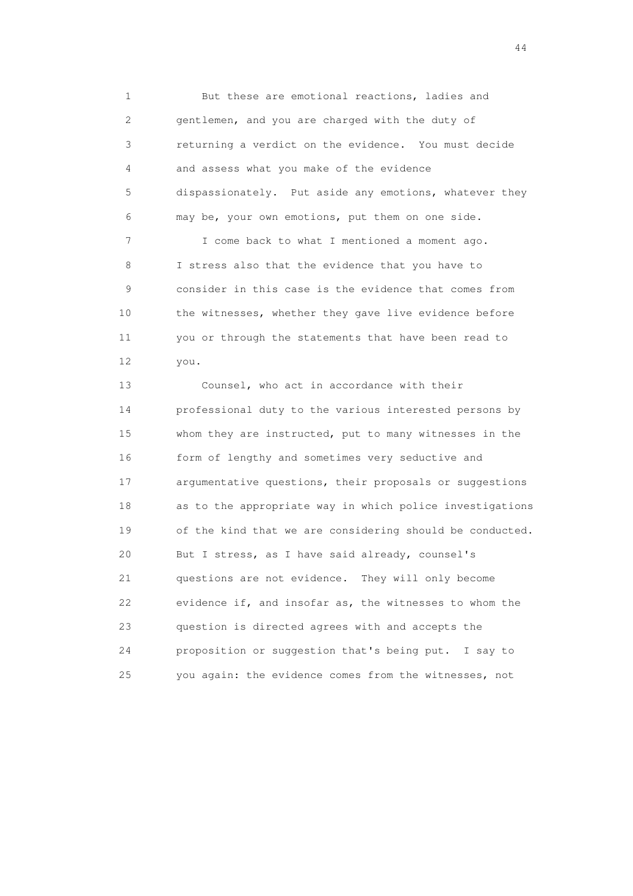1 But these are emotional reactions, ladies and 2 gentlemen, and you are charged with the duty of 3 returning a verdict on the evidence. You must decide 4 and assess what you make of the evidence 5 dispassionately. Put aside any emotions, whatever they 6 may be, your own emotions, put them on one side. 7 I come back to what I mentioned a moment ago. 8 I stress also that the evidence that you have to 9 consider in this case is the evidence that comes from 10 the witnesses, whether they gave live evidence before

 11 you or through the statements that have been read to 12 you.

 13 Counsel, who act in accordance with their 14 professional duty to the various interested persons by 15 whom they are instructed, put to many witnesses in the 16 form of lengthy and sometimes very seductive and 17 argumentative questions, their proposals or suggestions 18 as to the appropriate way in which police investigations 19 of the kind that we are considering should be conducted. 20 But I stress, as I have said already, counsel's 21 questions are not evidence. They will only become 22 evidence if, and insofar as, the witnesses to whom the 23 question is directed agrees with and accepts the 24 proposition or suggestion that's being put. I say to 25 you again: the evidence comes from the witnesses, not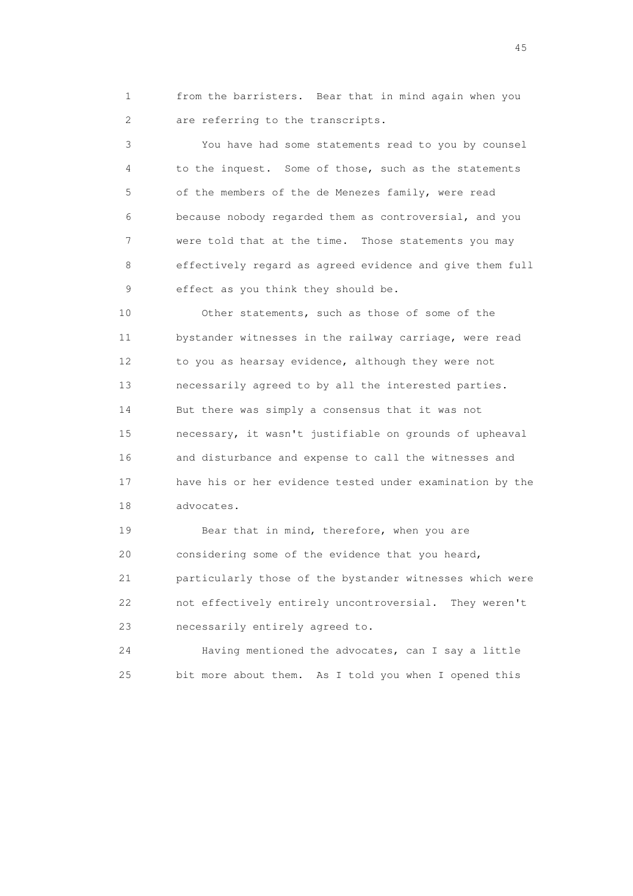1 from the barristers. Bear that in mind again when you 2 are referring to the transcripts.

 3 You have had some statements read to you by counsel 4 to the inquest. Some of those, such as the statements 5 of the members of the de Menezes family, were read 6 because nobody regarded them as controversial, and you 7 were told that at the time. Those statements you may 8 effectively regard as agreed evidence and give them full 9 effect as you think they should be.

 10 Other statements, such as those of some of the 11 bystander witnesses in the railway carriage, were read 12 to you as hearsay evidence, although they were not 13 necessarily agreed to by all the interested parties. 14 But there was simply a consensus that it was not 15 necessary, it wasn't justifiable on grounds of upheaval 16 and disturbance and expense to call the witnesses and 17 have his or her evidence tested under examination by the 18 advocates.

19 Bear that in mind, therefore, when you are 20 considering some of the evidence that you heard, 21 particularly those of the bystander witnesses which were 22 not effectively entirely uncontroversial. They weren't 23 necessarily entirely agreed to.

 24 Having mentioned the advocates, can I say a little 25 bit more about them. As I told you when I opened this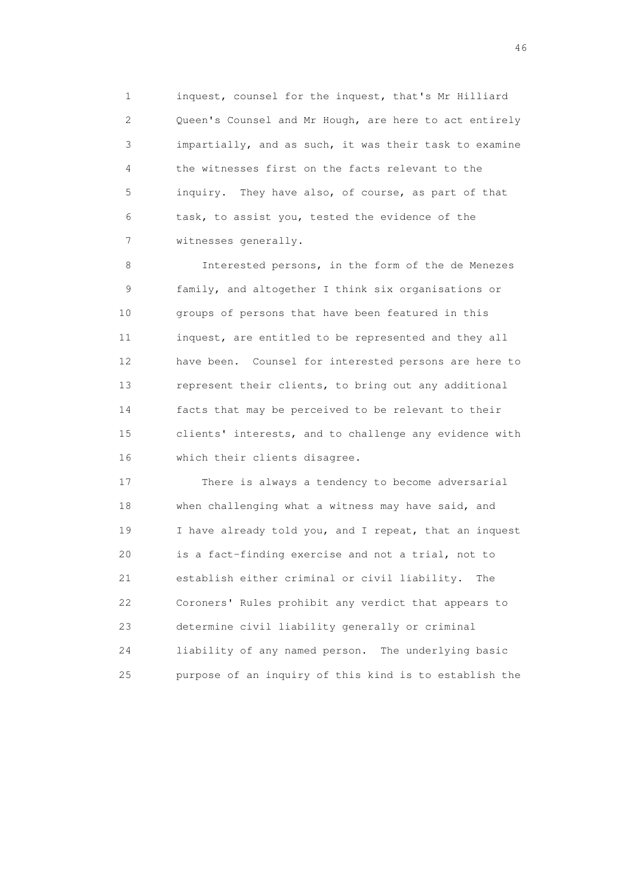1 inquest, counsel for the inquest, that's Mr Hilliard 2 Queen's Counsel and Mr Hough, are here to act entirely 3 impartially, and as such, it was their task to examine 4 the witnesses first on the facts relevant to the 5 inquiry. They have also, of course, as part of that 6 task, to assist you, tested the evidence of the 7 witnesses generally.

 8 Interested persons, in the form of the de Menezes 9 family, and altogether I think six organisations or 10 groups of persons that have been featured in this 11 inquest, are entitled to be represented and they all 12 have been. Counsel for interested persons are here to 13 represent their clients, to bring out any additional 14 facts that may be perceived to be relevant to their 15 clients' interests, and to challenge any evidence with 16 which their clients disagree.

 17 There is always a tendency to become adversarial 18 when challenging what a witness may have said, and 19 I have already told you, and I repeat, that an inquest 20 is a fact-finding exercise and not a trial, not to 21 establish either criminal or civil liability. The 22 Coroners' Rules prohibit any verdict that appears to 23 determine civil liability generally or criminal 24 liability of any named person. The underlying basic 25 purpose of an inquiry of this kind is to establish the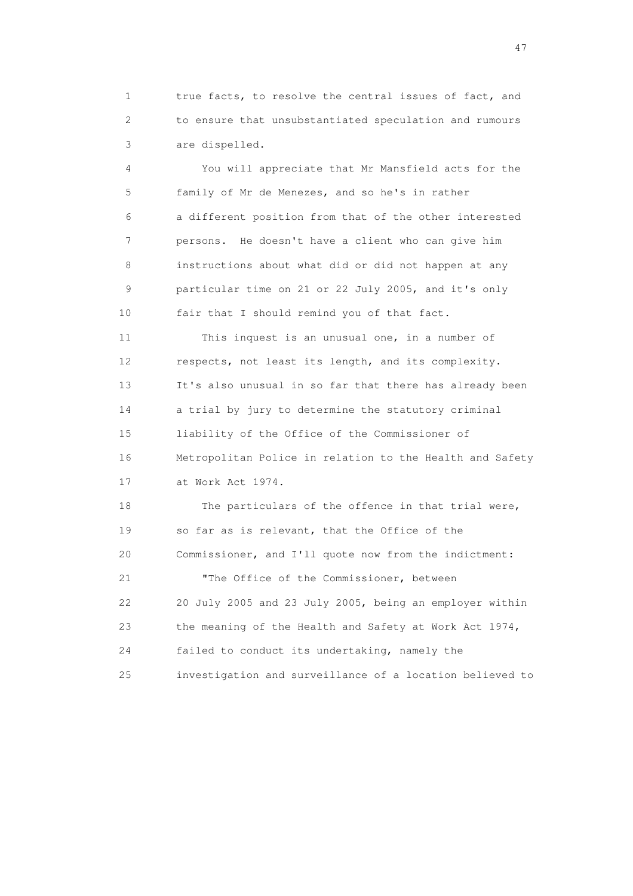1 true facts, to resolve the central issues of fact, and 2 to ensure that unsubstantiated speculation and rumours 3 are dispelled.

 4 You will appreciate that Mr Mansfield acts for the 5 family of Mr de Menezes, and so he's in rather 6 a different position from that of the other interested 7 persons. He doesn't have a client who can give him 8 instructions about what did or did not happen at any 9 particular time on 21 or 22 July 2005, and it's only 10 fair that I should remind you of that fact.

 11 This inquest is an unusual one, in a number of 12 respects, not least its length, and its complexity. 13 It's also unusual in so far that there has already been 14 a trial by jury to determine the statutory criminal 15 liability of the Office of the Commissioner of 16 Metropolitan Police in relation to the Health and Safety 17 at Work Act 1974.

18 The particulars of the offence in that trial were, 19 so far as is relevant, that the Office of the 20 Commissioner, and I'll quote now from the indictment:

 21 "The Office of the Commissioner, between 22 20 July 2005 and 23 July 2005, being an employer within 23 the meaning of the Health and Safety at Work Act 1974, 24 failed to conduct its undertaking, namely the 25 investigation and surveillance of a location believed to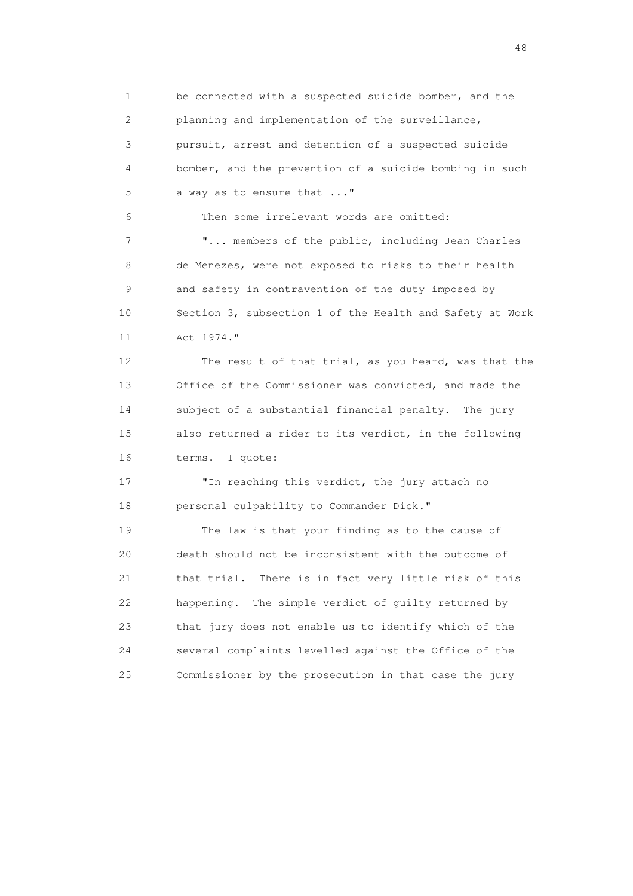1 be connected with a suspected suicide bomber, and the 2 planning and implementation of the surveillance, 3 pursuit, arrest and detention of a suspected suicide 4 bomber, and the prevention of a suicide bombing in such 5 a way as to ensure that ..."

6 Then some irrelevant words are omitted:

7 **"...** members of the public, including Jean Charles 8 de Menezes, were not exposed to risks to their health 9 and safety in contravention of the duty imposed by 10 Section 3, subsection 1 of the Health and Safety at Work 11 Act 1974."

 12 The result of that trial, as you heard, was that the 13 Office of the Commissioner was convicted, and made the 14 subject of a substantial financial penalty. The jury 15 also returned a rider to its verdict, in the following 16 terms. I quote:

17 TIn reaching this verdict, the jury attach no 18 personal culpability to Commander Dick."

 19 The law is that your finding as to the cause of 20 death should not be inconsistent with the outcome of 21 that trial. There is in fact very little risk of this 22 happening. The simple verdict of guilty returned by 23 that jury does not enable us to identify which of the 24 several complaints levelled against the Office of the 25 Commissioner by the prosecution in that case the jury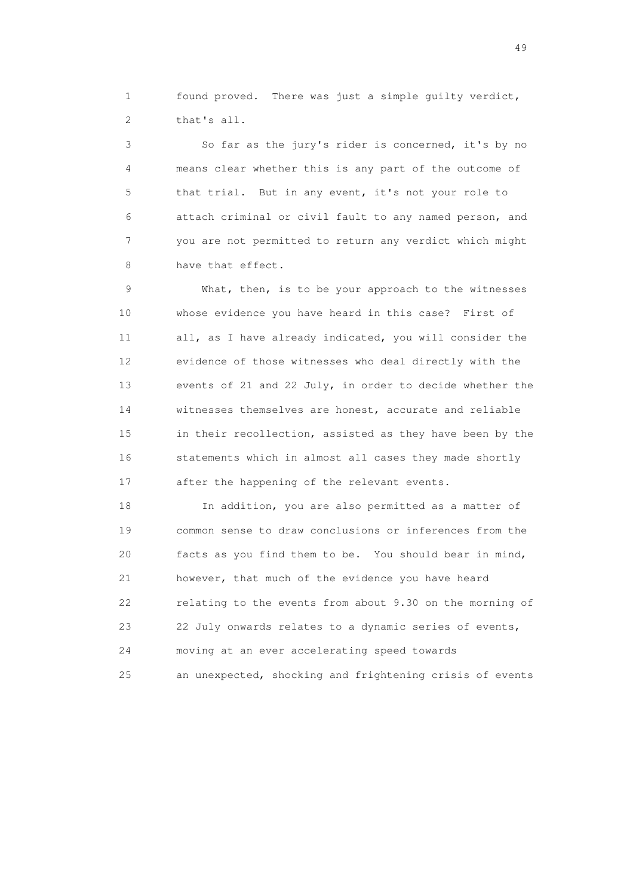1 found proved. There was just a simple guilty verdict, 2 that's all.

 3 So far as the jury's rider is concerned, it's by no 4 means clear whether this is any part of the outcome of 5 that trial. But in any event, it's not your role to 6 attach criminal or civil fault to any named person, and 7 you are not permitted to return any verdict which might 8 have that effect.

 9 What, then, is to be your approach to the witnesses 10 whose evidence you have heard in this case? First of 11 all, as I have already indicated, you will consider the 12 evidence of those witnesses who deal directly with the 13 events of 21 and 22 July, in order to decide whether the 14 witnesses themselves are honest, accurate and reliable 15 in their recollection, assisted as they have been by the 16 statements which in almost all cases they made shortly 17 after the happening of the relevant events.

 18 In addition, you are also permitted as a matter of 19 common sense to draw conclusions or inferences from the 20 facts as you find them to be. You should bear in mind, 21 however, that much of the evidence you have heard 22 relating to the events from about 9.30 on the morning of 23 22 July onwards relates to a dynamic series of events, 24 moving at an ever accelerating speed towards 25 an unexpected, shocking and frightening crisis of events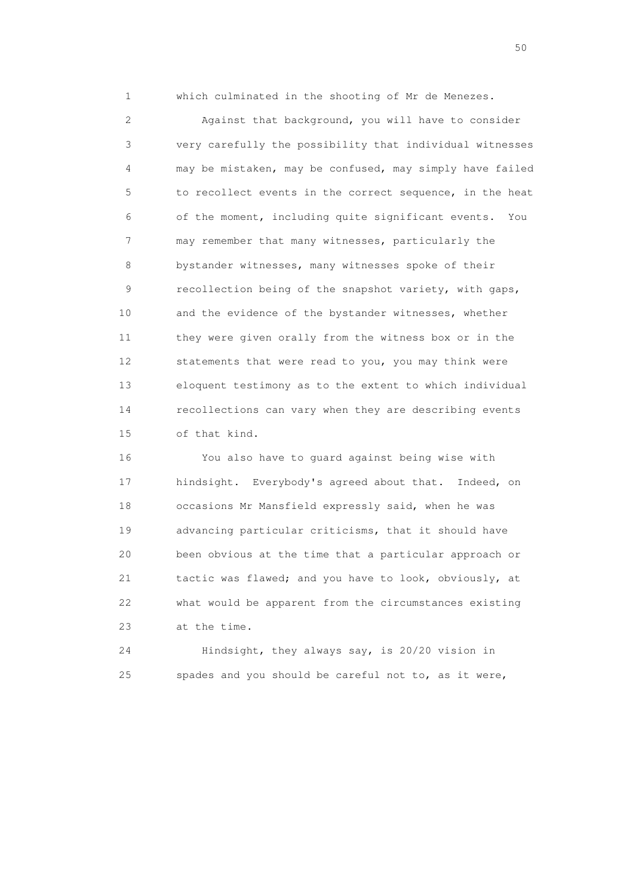1 which culminated in the shooting of Mr de Menezes.

 2 Against that background, you will have to consider 3 very carefully the possibility that individual witnesses 4 may be mistaken, may be confused, may simply have failed 5 to recollect events in the correct sequence, in the heat 6 of the moment, including quite significant events. You 7 may remember that many witnesses, particularly the 8 bystander witnesses, many witnesses spoke of their 9 recollection being of the snapshot variety, with gaps, 10 and the evidence of the bystander witnesses, whether 11 they were given orally from the witness box or in the 12 statements that were read to you, you may think were 13 eloquent testimony as to the extent to which individual 14 recollections can vary when they are describing events 15 of that kind.

 16 You also have to guard against being wise with 17 hindsight. Everybody's agreed about that. Indeed, on 18 occasions Mr Mansfield expressly said, when he was 19 advancing particular criticisms, that it should have 20 been obvious at the time that a particular approach or 21 tactic was flawed; and you have to look, obviously, at 22 what would be apparent from the circumstances existing 23 at the time.

 24 Hindsight, they always say, is 20/20 vision in 25 spades and you should be careful not to, as it were,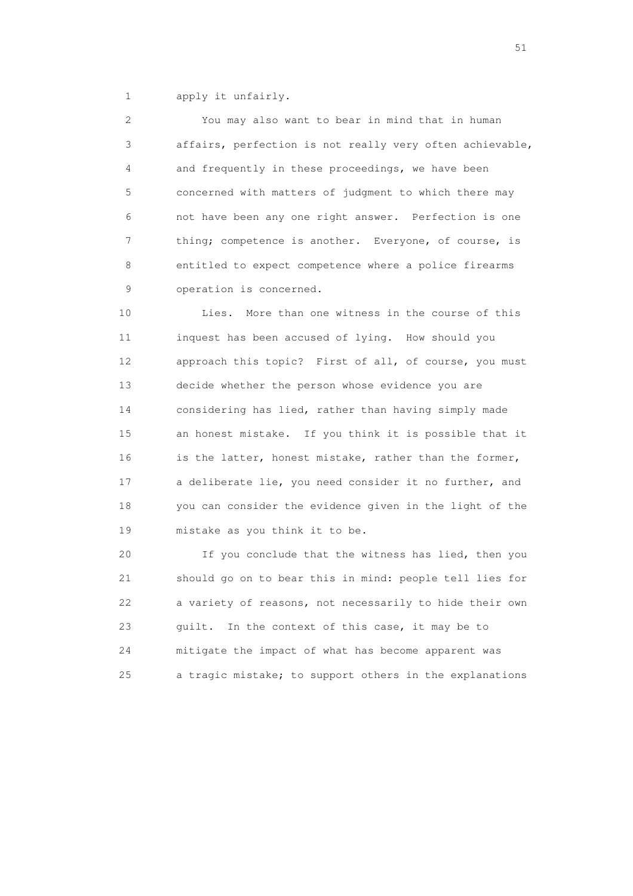1 apply it unfairly.

 2 You may also want to bear in mind that in human 3 affairs, perfection is not really very often achievable, 4 and frequently in these proceedings, we have been 5 concerned with matters of judgment to which there may 6 not have been any one right answer. Perfection is one 7 thing; competence is another. Everyone, of course, is 8 entitled to expect competence where a police firearms 9 operation is concerned.

 10 Lies. More than one witness in the course of this 11 inquest has been accused of lying. How should you 12 approach this topic? First of all, of course, you must 13 decide whether the person whose evidence you are 14 considering has lied, rather than having simply made 15 an honest mistake. If you think it is possible that it 16 is the latter, honest mistake, rather than the former, 17 a deliberate lie, you need consider it no further, and 18 you can consider the evidence given in the light of the 19 mistake as you think it to be.

 20 If you conclude that the witness has lied, then you 21 should go on to bear this in mind: people tell lies for 22 a variety of reasons, not necessarily to hide their own 23 guilt. In the context of this case, it may be to 24 mitigate the impact of what has become apparent was 25 a tragic mistake; to support others in the explanations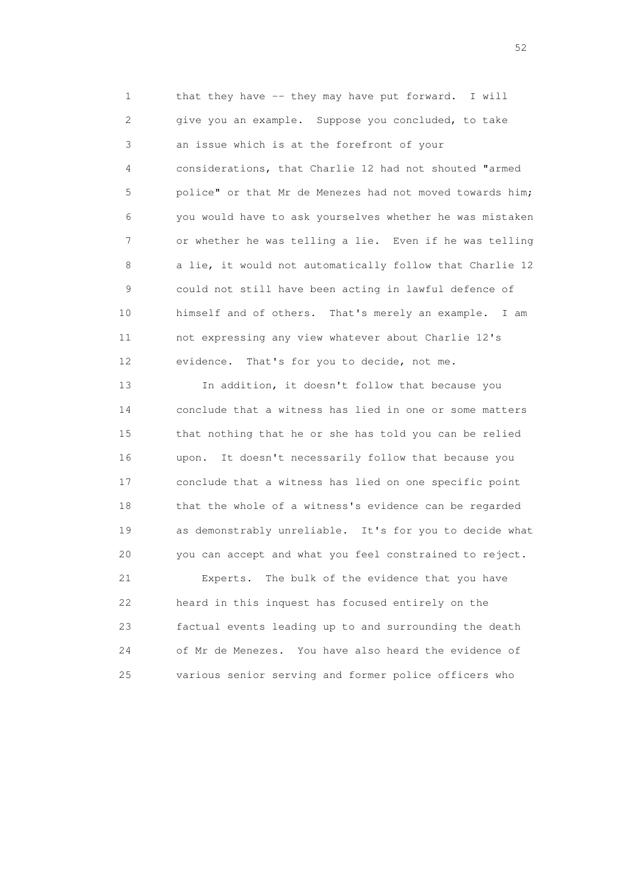1 that they have -- they may have put forward. I will 2 give you an example. Suppose you concluded, to take 3 an issue which is at the forefront of your 4 considerations, that Charlie 12 had not shouted "armed 5 police" or that Mr de Menezes had not moved towards him; 6 you would have to ask yourselves whether he was mistaken 7 or whether he was telling a lie. Even if he was telling 8 a lie, it would not automatically follow that Charlie 12 9 could not still have been acting in lawful defence of 10 himself and of others. That's merely an example. I am 11 not expressing any view whatever about Charlie 12's 12 evidence. That's for you to decide, not me.

 13 In addition, it doesn't follow that because you 14 conclude that a witness has lied in one or some matters 15 that nothing that he or she has told you can be relied 16 upon. It doesn't necessarily follow that because you 17 conclude that a witness has lied on one specific point 18 that the whole of a witness's evidence can be regarded 19 as demonstrably unreliable. It's for you to decide what 20 you can accept and what you feel constrained to reject. 21 Experts. The bulk of the evidence that you have

 22 heard in this inquest has focused entirely on the 23 factual events leading up to and surrounding the death 24 of Mr de Menezes. You have also heard the evidence of 25 various senior serving and former police officers who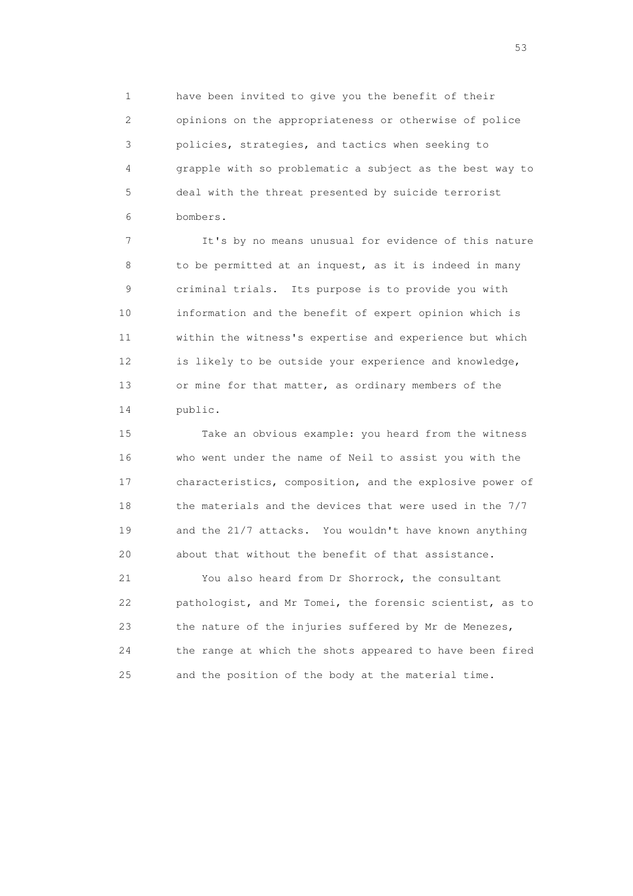1 have been invited to give you the benefit of their 2 opinions on the appropriateness or otherwise of police 3 policies, strategies, and tactics when seeking to 4 grapple with so problematic a subject as the best way to 5 deal with the threat presented by suicide terrorist 6 bombers.

 7 It's by no means unusual for evidence of this nature 8 to be permitted at an inquest, as it is indeed in many 9 criminal trials. Its purpose is to provide you with 10 information and the benefit of expert opinion which is 11 within the witness's expertise and experience but which 12 is likely to be outside your experience and knowledge, 13 or mine for that matter, as ordinary members of the 14 public.

 15 Take an obvious example: you heard from the witness 16 who went under the name of Neil to assist you with the 17 characteristics, composition, and the explosive power of 18 the materials and the devices that were used in the 7/7 19 and the 21/7 attacks. You wouldn't have known anything 20 about that without the benefit of that assistance.

 21 You also heard from Dr Shorrock, the consultant 22 pathologist, and Mr Tomei, the forensic scientist, as to 23 the nature of the injuries suffered by Mr de Menezes, 24 the range at which the shots appeared to have been fired 25 and the position of the body at the material time.

 $\sim$  53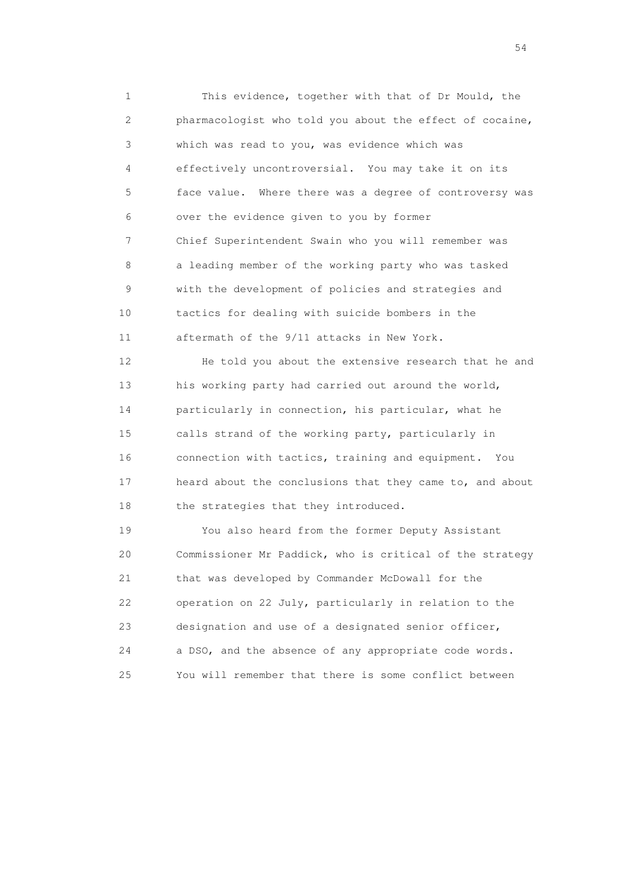1 This evidence, together with that of Dr Mould, the 2 pharmacologist who told you about the effect of cocaine, 3 which was read to you, was evidence which was 4 effectively uncontroversial. You may take it on its 5 face value. Where there was a degree of controversy was 6 over the evidence given to you by former 7 Chief Superintendent Swain who you will remember was 8 a leading member of the working party who was tasked 9 with the development of policies and strategies and 10 tactics for dealing with suicide bombers in the 11 aftermath of the 9/11 attacks in New York.

 12 He told you about the extensive research that he and 13 his working party had carried out around the world, 14 particularly in connection, his particular, what he 15 calls strand of the working party, particularly in 16 connection with tactics, training and equipment. You 17 heard about the conclusions that they came to, and about 18 the strategies that they introduced.

 19 You also heard from the former Deputy Assistant 20 Commissioner Mr Paddick, who is critical of the strategy 21 that was developed by Commander McDowall for the 22 operation on 22 July, particularly in relation to the 23 designation and use of a designated senior officer, 24 a DSO, and the absence of any appropriate code words. 25 You will remember that there is some conflict between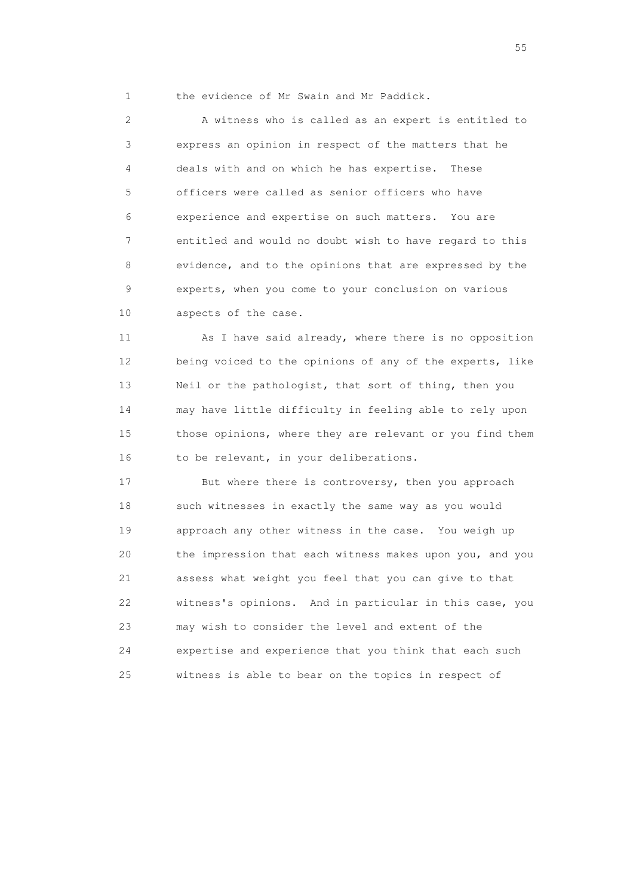1 the evidence of Mr Swain and Mr Paddick.

 2 A witness who is called as an expert is entitled to 3 express an opinion in respect of the matters that he 4 deals with and on which he has expertise. These 5 officers were called as senior officers who have 6 experience and expertise on such matters. You are 7 entitled and would no doubt wish to have regard to this 8 evidence, and to the opinions that are expressed by the 9 experts, when you come to your conclusion on various 10 aspects of the case.

 11 As I have said already, where there is no opposition 12 being voiced to the opinions of any of the experts, like 13 Neil or the pathologist, that sort of thing, then you 14 may have little difficulty in feeling able to rely upon 15 those opinions, where they are relevant or you find them 16 to be relevant, in your deliberations.

 17 But where there is controversy, then you approach 18 such witnesses in exactly the same way as you would 19 approach any other witness in the case. You weigh up 20 the impression that each witness makes upon you, and you 21 assess what weight you feel that you can give to that 22 witness's opinions. And in particular in this case, you 23 may wish to consider the level and extent of the 24 expertise and experience that you think that each such 25 witness is able to bear on the topics in respect of

the state of the state of the state of the state of the state of the state of the state of the state of the state of the state of the state of the state of the state of the state of the state of the state of the state of t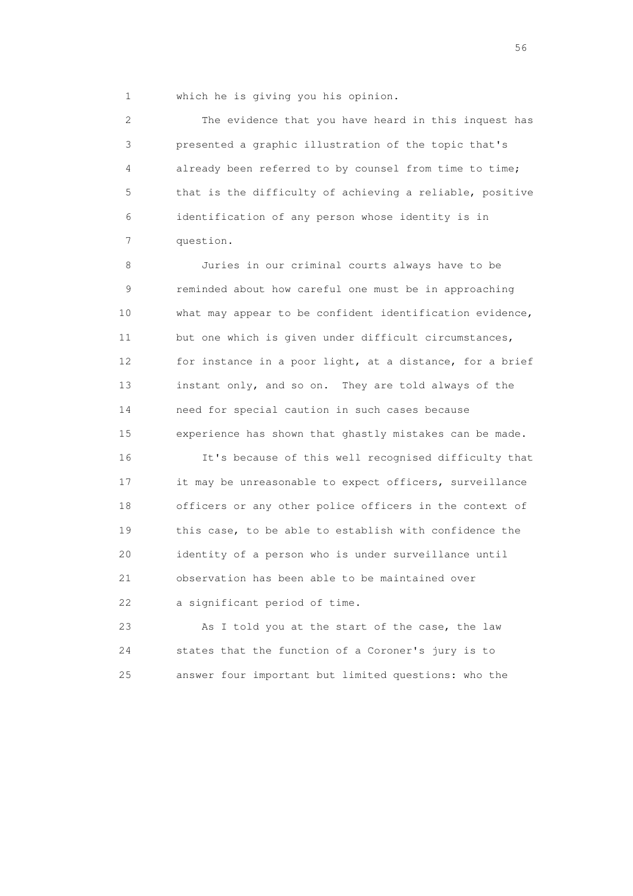1 which he is giving you his opinion.

 2 The evidence that you have heard in this inquest has 3 presented a graphic illustration of the topic that's 4 already been referred to by counsel from time to time; 5 that is the difficulty of achieving a reliable, positive 6 identification of any person whose identity is in 7 question.

 8 Juries in our criminal courts always have to be 9 reminded about how careful one must be in approaching 10 what may appear to be confident identification evidence, 11 but one which is given under difficult circumstances, 12 for instance in a poor light, at a distance, for a brief 13 instant only, and so on. They are told always of the 14 need for special caution in such cases because 15 experience has shown that ghastly mistakes can be made.

 16 It's because of this well recognised difficulty that 17 it may be unreasonable to expect officers, surveillance 18 officers or any other police officers in the context of 19 this case, to be able to establish with confidence the 20 identity of a person who is under surveillance until 21 observation has been able to be maintained over 22 a significant period of time.

 23 As I told you at the start of the case, the law 24 states that the function of a Coroner's jury is to 25 answer four important but limited questions: who the

 $56<sup>o</sup>$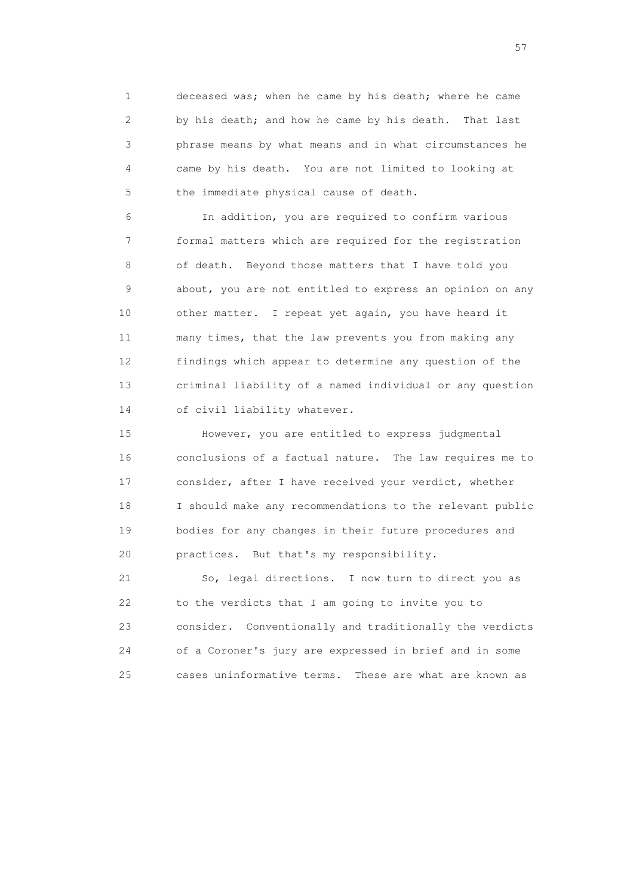1 deceased was; when he came by his death; where he came 2 by his death; and how he came by his death. That last 3 phrase means by what means and in what circumstances he 4 came by his death. You are not limited to looking at 5 the immediate physical cause of death.

 6 In addition, you are required to confirm various 7 formal matters which are required for the registration 8 of death. Beyond those matters that I have told you 9 about, you are not entitled to express an opinion on any 10 other matter. I repeat yet again, you have heard it 11 many times, that the law prevents you from making any 12 findings which appear to determine any question of the 13 criminal liability of a named individual or any question 14 of civil liability whatever.

 15 However, you are entitled to express judgmental 16 conclusions of a factual nature. The law requires me to 17 consider, after I have received your verdict, whether 18 I should make any recommendations to the relevant public 19 bodies for any changes in their future procedures and 20 practices. But that's my responsibility.

 21 So, legal directions. I now turn to direct you as 22 to the verdicts that I am going to invite you to 23 consider. Conventionally and traditionally the verdicts 24 of a Coroner's jury are expressed in brief and in some 25 cases uninformative terms. These are what are known as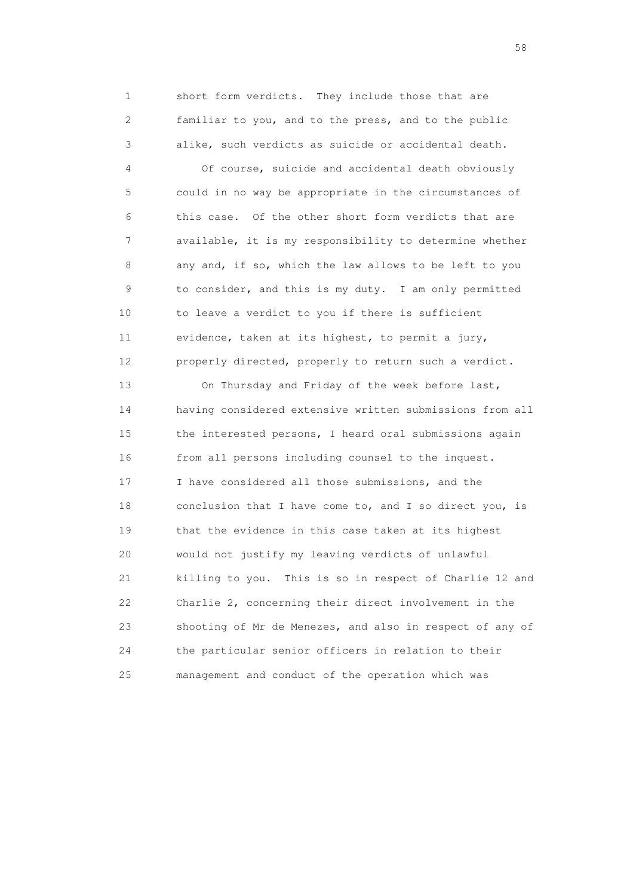1 short form verdicts. They include those that are 2 familiar to you, and to the press, and to the public 3 alike, such verdicts as suicide or accidental death.

 4 Of course, suicide and accidental death obviously 5 could in no way be appropriate in the circumstances of 6 this case. Of the other short form verdicts that are 7 available, it is my responsibility to determine whether 8 any and, if so, which the law allows to be left to you 9 to consider, and this is my duty. I am only permitted 10 to leave a verdict to you if there is sufficient 11 evidence, taken at its highest, to permit a jury, 12 properly directed, properly to return such a verdict.

 13 On Thursday and Friday of the week before last, 14 having considered extensive written submissions from all 15 the interested persons, I heard oral submissions again 16 from all persons including counsel to the inquest. 17 I have considered all those submissions, and the 18 conclusion that I have come to, and I so direct you, is 19 that the evidence in this case taken at its highest 20 would not justify my leaving verdicts of unlawful 21 killing to you. This is so in respect of Charlie 12 and 22 Charlie 2, concerning their direct involvement in the 23 shooting of Mr de Menezes, and also in respect of any of 24 the particular senior officers in relation to their 25 management and conduct of the operation which was

the state of the state of the state of the state of the state of the state of the state of the state of the state of the state of the state of the state of the state of the state of the state of the state of the state of t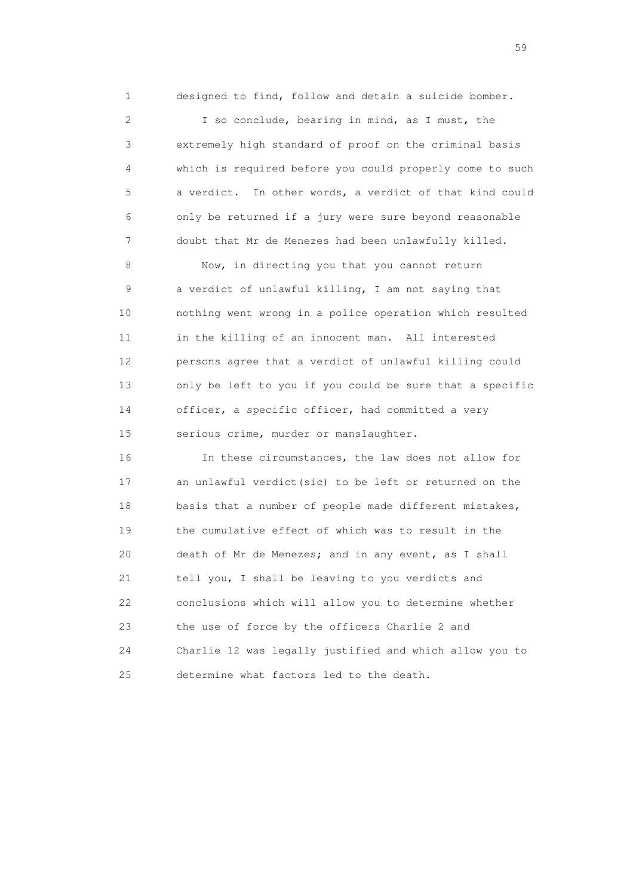1 designed to find, follow and detain a suicide bomber.

 2 I so conclude, bearing in mind, as I must, the 3 extremely high standard of proof on the criminal basis 4 which is required before you could properly come to such 5 a verdict. In other words, a verdict of that kind could 6 only be returned if a jury were sure beyond reasonable 7 doubt that Mr de Menezes had been unlawfully killed.

8 Now, in directing you that you cannot return 9 a verdict of unlawful killing, I am not saying that 10 nothing went wrong in a police operation which resulted 11 in the killing of an innocent man. All interested 12 persons agree that a verdict of unlawful killing could 13 only be left to you if you could be sure that a specific 14 officer, a specific officer, had committed a very 15 serious crime, murder or manslaughter.

 16 In these circumstances, the law does not allow for 17 an unlawful verdict(sic) to be left or returned on the 18 basis that a number of people made different mistakes, 19 the cumulative effect of which was to result in the 20 death of Mr de Menezes; and in any event, as I shall 21 tell you, I shall be leaving to you verdicts and 22 conclusions which will allow you to determine whether 23 the use of force by the officers Charlie 2 and 24 Charlie 12 was legally justified and which allow you to 25 determine what factors led to the death.

the contract of the contract of the contract of the contract of the contract of the contract of the contract of the contract of the contract of the contract of the contract of the contract of the contract of the contract o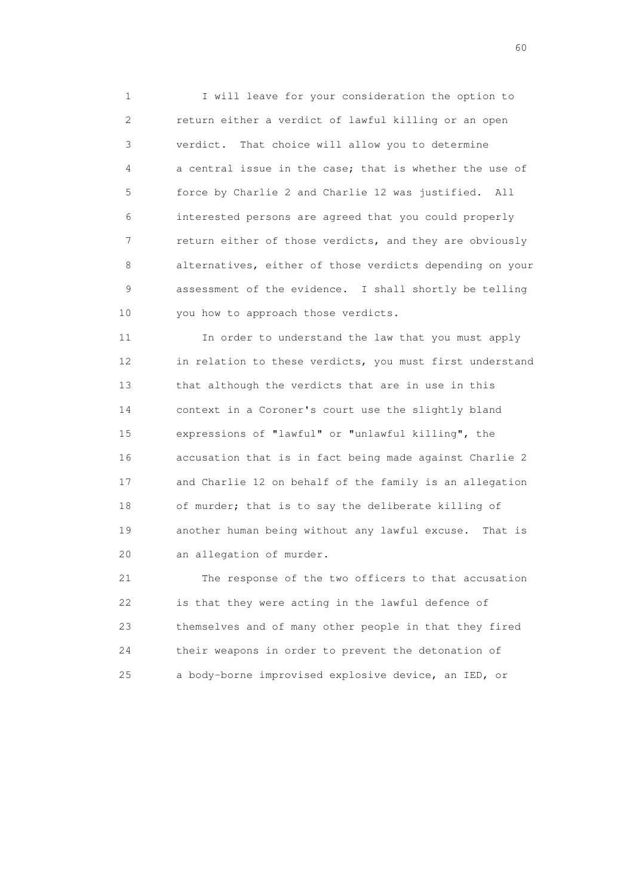1 I will leave for your consideration the option to 2 return either a verdict of lawful killing or an open 3 verdict. That choice will allow you to determine 4 a central issue in the case; that is whether the use of 5 force by Charlie 2 and Charlie 12 was justified. All 6 interested persons are agreed that you could properly 7 return either of those verdicts, and they are obviously 8 alternatives, either of those verdicts depending on your 9 assessment of the evidence. I shall shortly be telling 10 you how to approach those verdicts.

 11 In order to understand the law that you must apply 12 in relation to these verdicts, you must first understand 13 that although the verdicts that are in use in this 14 context in a Coroner's court use the slightly bland 15 expressions of "lawful" or "unlawful killing", the 16 accusation that is in fact being made against Charlie 2 17 and Charlie 12 on behalf of the family is an allegation 18 of murder; that is to say the deliberate killing of 19 another human being without any lawful excuse. That is 20 an allegation of murder.

 21 The response of the two officers to that accusation 22 is that they were acting in the lawful defence of 23 themselves and of many other people in that they fired 24 their weapons in order to prevent the detonation of 25 a body-borne improvised explosive device, an IED, or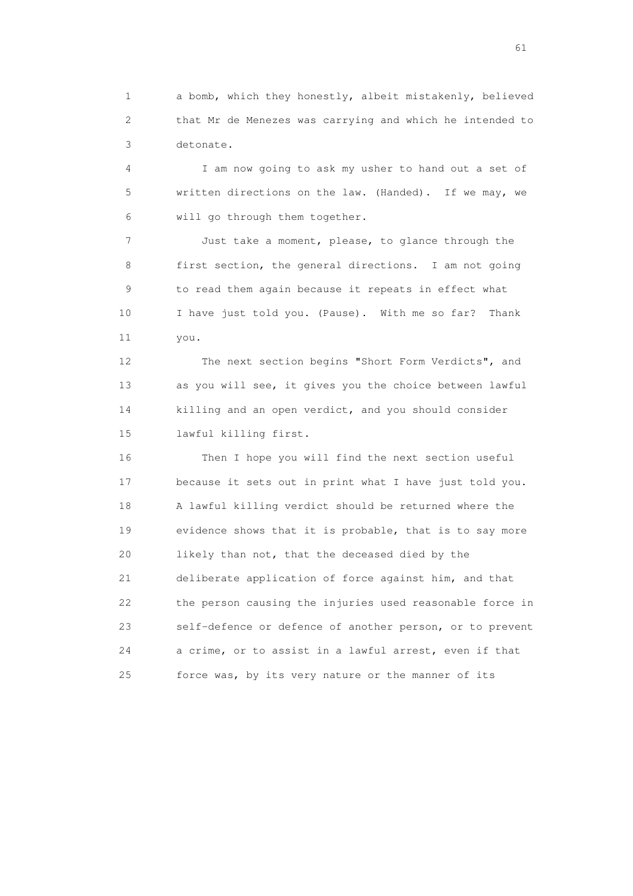1 a bomb, which they honestly, albeit mistakenly, believed 2 that Mr de Menezes was carrying and which he intended to 3 detonate.

 4 I am now going to ask my usher to hand out a set of 5 written directions on the law. (Handed). If we may, we 6 will go through them together.

 7 Just take a moment, please, to glance through the 8 first section, the general directions. I am not going 9 to read them again because it repeats in effect what 10 I have just told you. (Pause). With me so far? Thank 11 you.

 12 The next section begins "Short Form Verdicts", and 13 as you will see, it gives you the choice between lawful 14 killing and an open verdict, and you should consider 15 lawful killing first.

 16 Then I hope you will find the next section useful 17 because it sets out in print what I have just told you. 18 A lawful killing verdict should be returned where the 19 evidence shows that it is probable, that is to say more 20 likely than not, that the deceased died by the 21 deliberate application of force against him, and that 22 the person causing the injuries used reasonable force in 23 self-defence or defence of another person, or to prevent 24 a crime, or to assist in a lawful arrest, even if that 25 force was, by its very nature or the manner of its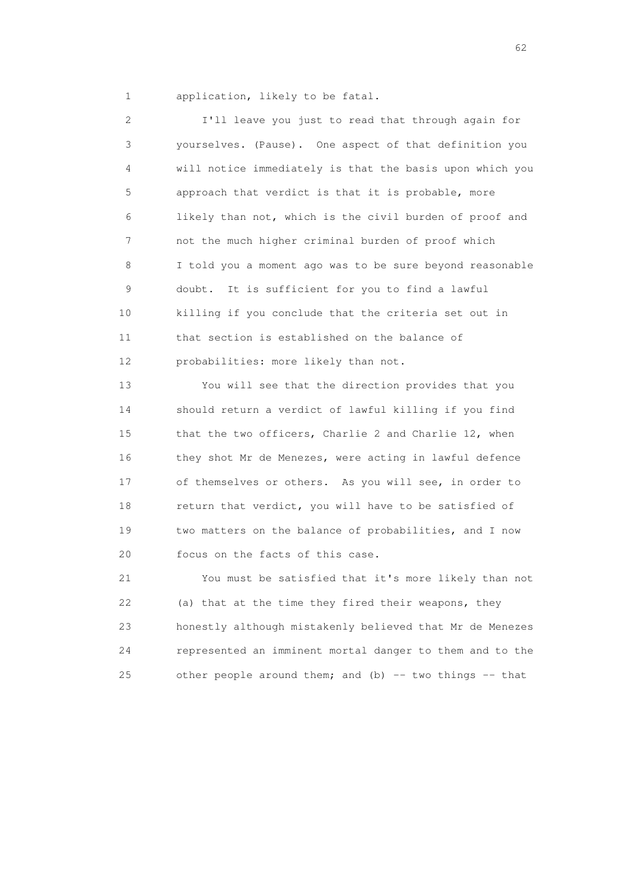1 application, likely to be fatal.

 2 I'll leave you just to read that through again for 3 yourselves. (Pause). One aspect of that definition you 4 will notice immediately is that the basis upon which you 5 approach that verdict is that it is probable, more 6 likely than not, which is the civil burden of proof and 7 not the much higher criminal burden of proof which 8 I told you a moment ago was to be sure beyond reasonable 9 doubt. It is sufficient for you to find a lawful 10 killing if you conclude that the criteria set out in 11 that section is established on the balance of 12 probabilities: more likely than not.

 13 You will see that the direction provides that you 14 should return a verdict of lawful killing if you find 15 that the two officers, Charlie 2 and Charlie 12, when 16 they shot Mr de Menezes, were acting in lawful defence 17 of themselves or others. As you will see, in order to 18 return that verdict, you will have to be satisfied of 19 two matters on the balance of probabilities, and I now 20 focus on the facts of this case.

 21 You must be satisfied that it's more likely than not 22 (a) that at the time they fired their weapons, they 23 honestly although mistakenly believed that Mr de Menezes 24 represented an imminent mortal danger to them and to the 25 other people around them; and (b)  $-$  two things  $-$  that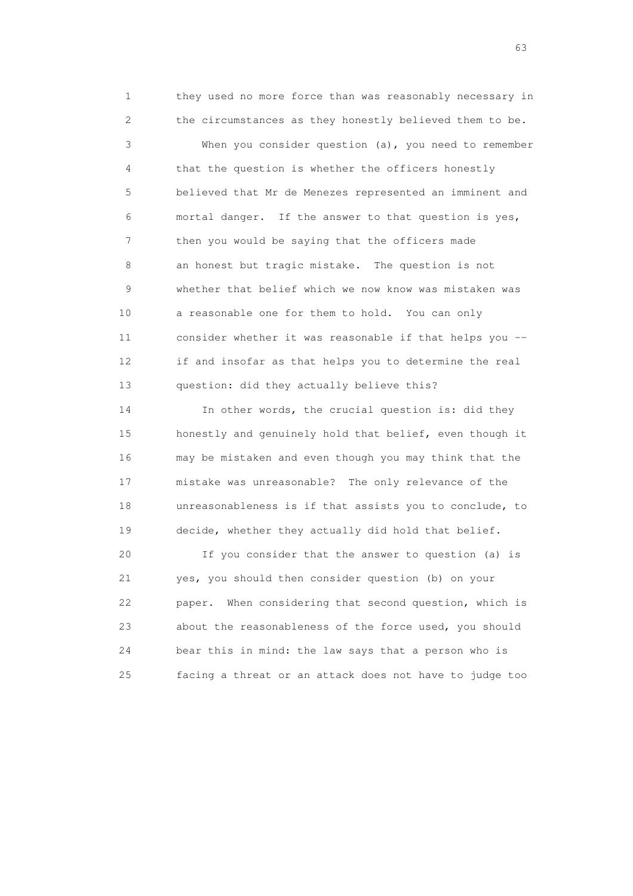1 they used no more force than was reasonably necessary in 2 the circumstances as they honestly believed them to be. 3 When you consider question (a), you need to remember 4 that the question is whether the officers honestly 5 believed that Mr de Menezes represented an imminent and 6 mortal danger. If the answer to that question is yes, 7 then you would be saying that the officers made 8 an honest but tragic mistake. The question is not 9 whether that belief which we now know was mistaken was 10 a reasonable one for them to hold. You can only 11 consider whether it was reasonable if that helps you -- 12 if and insofar as that helps you to determine the real 13 question: did they actually believe this?

 14 In other words, the crucial question is: did they 15 honestly and genuinely hold that belief, even though it 16 may be mistaken and even though you may think that the 17 mistake was unreasonable? The only relevance of the 18 unreasonableness is if that assists you to conclude, to 19 decide, whether they actually did hold that belief.

 20 If you consider that the answer to question (a) is 21 yes, you should then consider question (b) on your 22 paper. When considering that second question, which is 23 about the reasonableness of the force used, you should 24 bear this in mind: the law says that a person who is 25 facing a threat or an attack does not have to judge too

experience of the contract of the contract of the contract of the contract of the contract of the contract of the contract of the contract of the contract of the contract of the contract of the contract of the contract of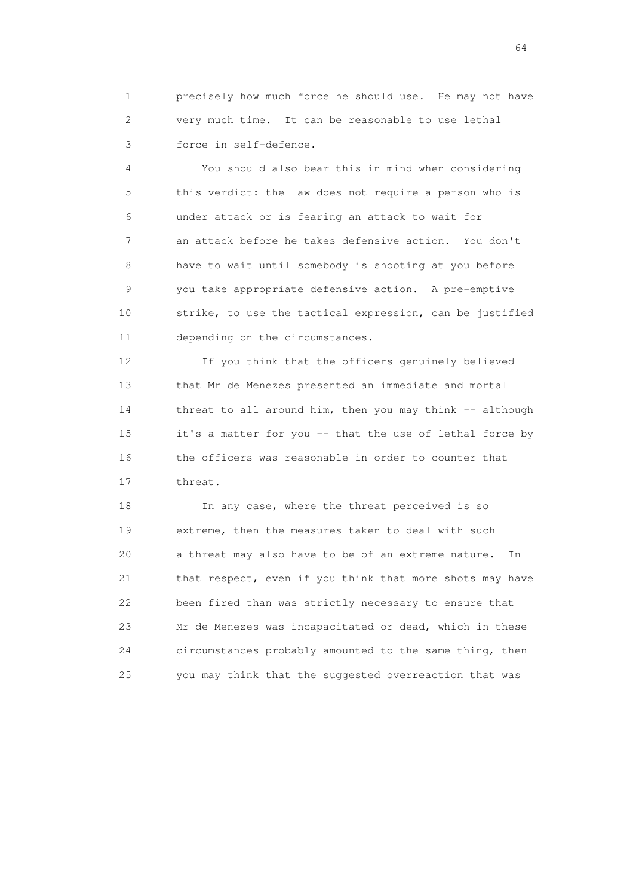1 precisely how much force he should use. He may not have 2 very much time. It can be reasonable to use lethal 3 force in self-defence.

 4 You should also bear this in mind when considering 5 this verdict: the law does not require a person who is 6 under attack or is fearing an attack to wait for 7 an attack before he takes defensive action. You don't 8 have to wait until somebody is shooting at you before 9 you take appropriate defensive action. A pre-emptive 10 strike, to use the tactical expression, can be justified 11 depending on the circumstances.

 12 If you think that the officers genuinely believed 13 that Mr de Menezes presented an immediate and mortal 14 threat to all around him, then you may think -- although 15 it's a matter for you -- that the use of lethal force by 16 the officers was reasonable in order to counter that 17 threat.

 18 In any case, where the threat perceived is so 19 extreme, then the measures taken to deal with such 20 a threat may also have to be of an extreme nature. In 21 that respect, even if you think that more shots may have 22 been fired than was strictly necessary to ensure that 23 Mr de Menezes was incapacitated or dead, which in these 24 circumstances probably amounted to the same thing, then 25 you may think that the suggested overreaction that was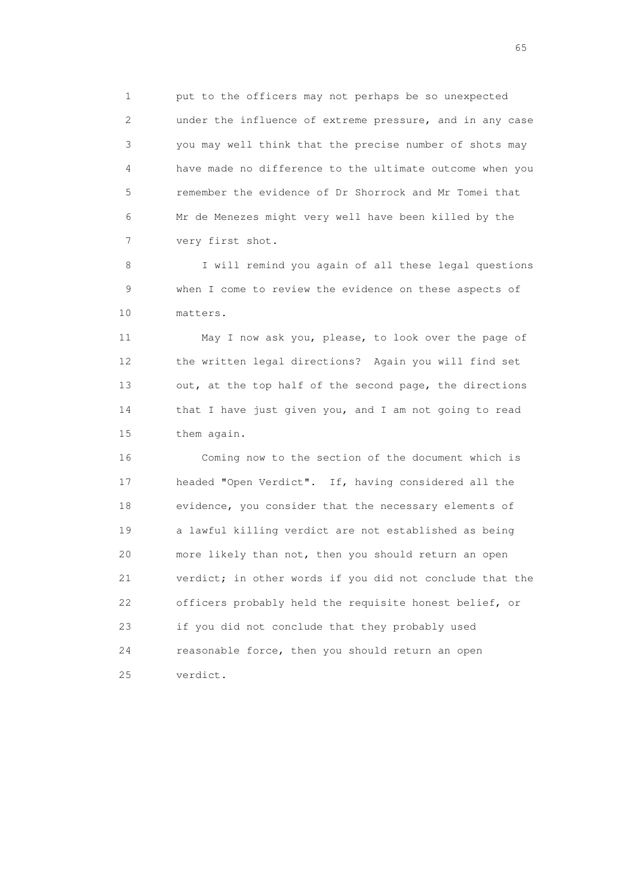1 put to the officers may not perhaps be so unexpected 2 under the influence of extreme pressure, and in any case 3 you may well think that the precise number of shots may 4 have made no difference to the ultimate outcome when you 5 remember the evidence of Dr Shorrock and Mr Tomei that 6 Mr de Menezes might very well have been killed by the 7 very first shot.

 8 I will remind you again of all these legal questions 9 when I come to review the evidence on these aspects of 10 matters.

 11 May I now ask you, please, to look over the page of 12 the written legal directions? Again you will find set 13 out, at the top half of the second page, the directions 14 that I have just given you, and I am not going to read 15 them again.

 16 Coming now to the section of the document which is 17 headed "Open Verdict". If, having considered all the 18 evidence, you consider that the necessary elements of 19 a lawful killing verdict are not established as being 20 more likely than not, then you should return an open 21 verdict; in other words if you did not conclude that the 22 officers probably held the requisite honest belief, or 23 if you did not conclude that they probably used 24 reasonable force, then you should return an open 25 verdict.

 $\sim$  65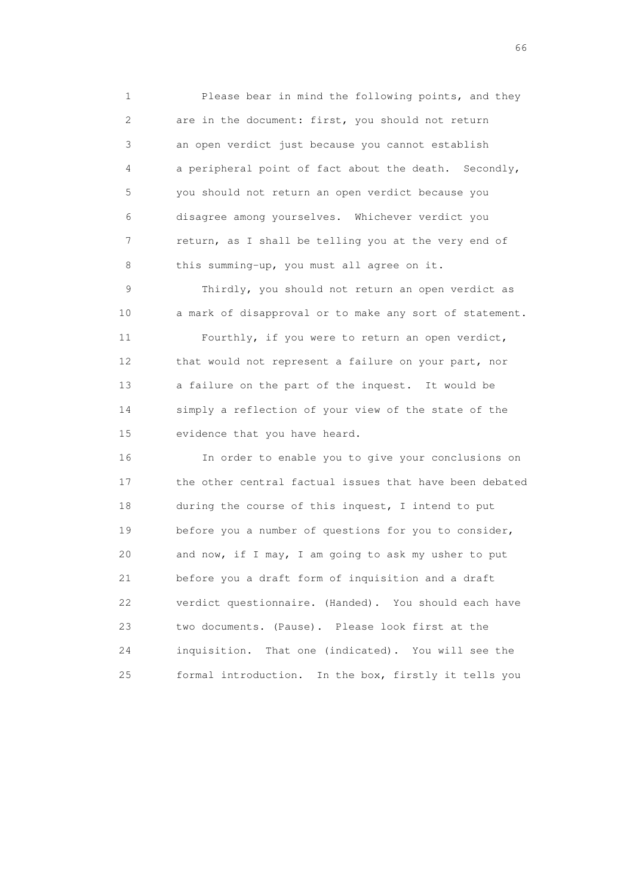1 Please bear in mind the following points, and they 2 are in the document: first, you should not return 3 an open verdict just because you cannot establish 4 a peripheral point of fact about the death. Secondly, 5 you should not return an open verdict because you 6 disagree among yourselves. Whichever verdict you 7 return, as I shall be telling you at the very end of 8 this summing-up, you must all agree on it.

 9 Thirdly, you should not return an open verdict as 10 a mark of disapproval or to make any sort of statement.

 11 Fourthly, if you were to return an open verdict, 12 that would not represent a failure on your part, nor 13 a failure on the part of the inquest. It would be 14 simply a reflection of your view of the state of the 15 evidence that you have heard.

 16 In order to enable you to give your conclusions on 17 the other central factual issues that have been debated 18 during the course of this inquest, I intend to put 19 before you a number of questions for you to consider, 20 and now, if I may, I am going to ask my usher to put 21 before you a draft form of inquisition and a draft 22 verdict questionnaire. (Handed). You should each have 23 two documents. (Pause). Please look first at the 24 inquisition. That one (indicated). You will see the 25 formal introduction. In the box, firstly it tells you

 $\sim$  66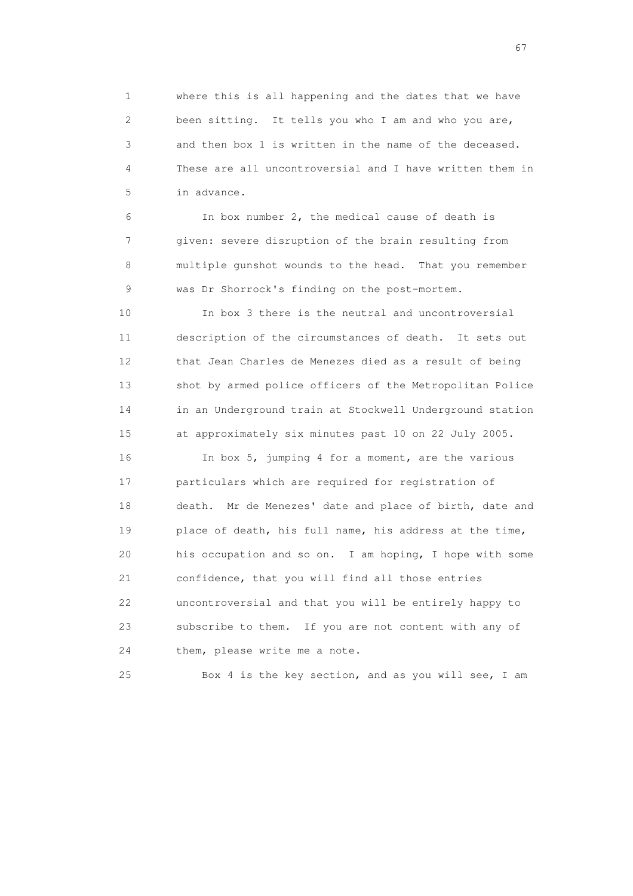1 where this is all happening and the dates that we have 2 been sitting. It tells you who I am and who you are, 3 and then box 1 is written in the name of the deceased. 4 These are all uncontroversial and I have written them in 5 in advance.

 6 In box number 2, the medical cause of death is 7 given: severe disruption of the brain resulting from 8 multiple gunshot wounds to the head. That you remember 9 was Dr Shorrock's finding on the post-mortem.

 10 In box 3 there is the neutral and uncontroversial 11 description of the circumstances of death. It sets out 12 that Jean Charles de Menezes died as a result of being 13 shot by armed police officers of the Metropolitan Police 14 in an Underground train at Stockwell Underground station 15 at approximately six minutes past 10 on 22 July 2005.

 16 In box 5, jumping 4 for a moment, are the various 17 particulars which are required for registration of 18 death. Mr de Menezes' date and place of birth, date and 19 place of death, his full name, his address at the time, 20 his occupation and so on. I am hoping, I hope with some 21 confidence, that you will find all those entries 22 uncontroversial and that you will be entirely happy to 23 subscribe to them. If you are not content with any of 24 them, please write me a note.

25 Box 4 is the key section, and as you will see, I am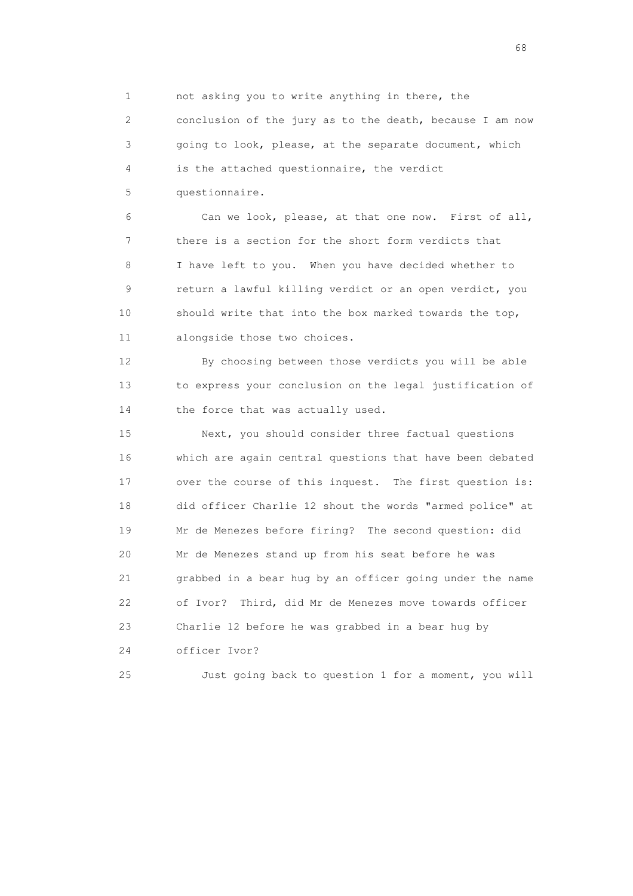1 not asking you to write anything in there, the 2 conclusion of the jury as to the death, because I am now 3 going to look, please, at the separate document, which 4 is the attached questionnaire, the verdict 5 questionnaire.

 6 Can we look, please, at that one now. First of all, 7 there is a section for the short form verdicts that 8 I have left to you. When you have decided whether to 9 return a lawful killing verdict or an open verdict, you 10 should write that into the box marked towards the top, 11 alongside those two choices.

 12 By choosing between those verdicts you will be able 13 to express your conclusion on the legal justification of 14 the force that was actually used.

 15 Next, you should consider three factual questions 16 which are again central questions that have been debated 17 over the course of this inquest. The first question is: 18 did officer Charlie 12 shout the words "armed police" at 19 Mr de Menezes before firing? The second question: did 20 Mr de Menezes stand up from his seat before he was 21 grabbed in a bear hug by an officer going under the name 22 of Ivor? Third, did Mr de Menezes move towards officer 23 Charlie 12 before he was grabbed in a bear hug by 24 officer Ivor?

25 Just going back to question 1 for a moment, you will

en de la construction de la construction de la construction de la construction de la construction de la construction de la construction de la construction de la construction de la construction de la construction de la cons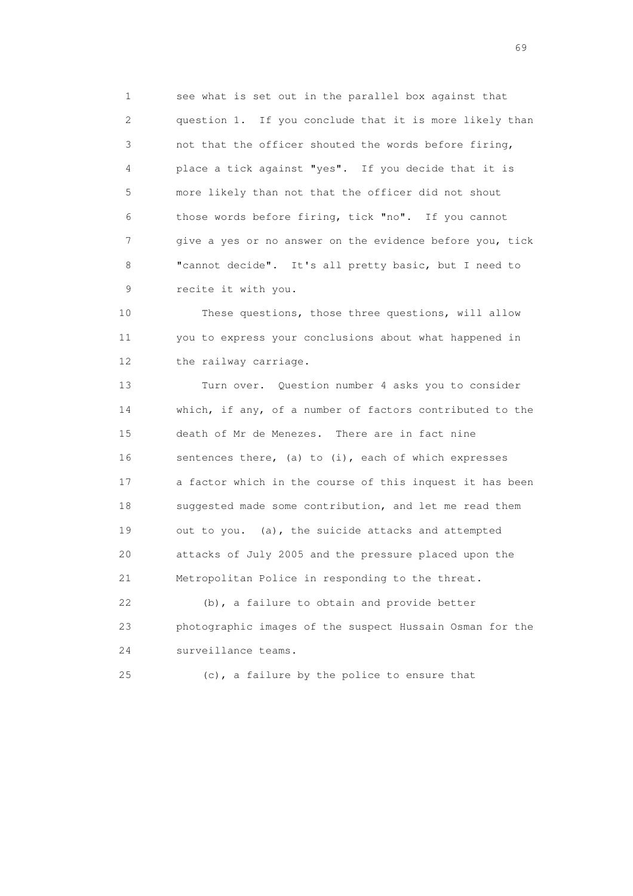1 see what is set out in the parallel box against that 2 question 1. If you conclude that it is more likely than 3 not that the officer shouted the words before firing, 4 place a tick against "yes". If you decide that it is 5 more likely than not that the officer did not shout 6 those words before firing, tick "no". If you cannot 7 give a yes or no answer on the evidence before you, tick 8 "cannot decide". It's all pretty basic, but I need to 9 recite it with you.

 10 These questions, those three questions, will allow 11 you to express your conclusions about what happened in 12 the railway carriage.

 13 Turn over. Question number 4 asks you to consider 14 which, if any, of a number of factors contributed to the 15 death of Mr de Menezes. There are in fact nine 16 sentences there, (a) to (i), each of which expresses 17 a factor which in the course of this inquest it has been 18 suggested made some contribution, and let me read them 19 out to you. (a), the suicide attacks and attempted 20 attacks of July 2005 and the pressure placed upon the 21 Metropolitan Police in responding to the threat.

 22 (b), a failure to obtain and provide better 23 photographic images of the suspect Hussain Osman for the 24 surveillance teams.

25 (c), a failure by the police to ensure that

entral de la construction de la construction de la construction de la construction de la construction de la co<br>1990 : la construction de la construction de la construction de la construction de la construction de la const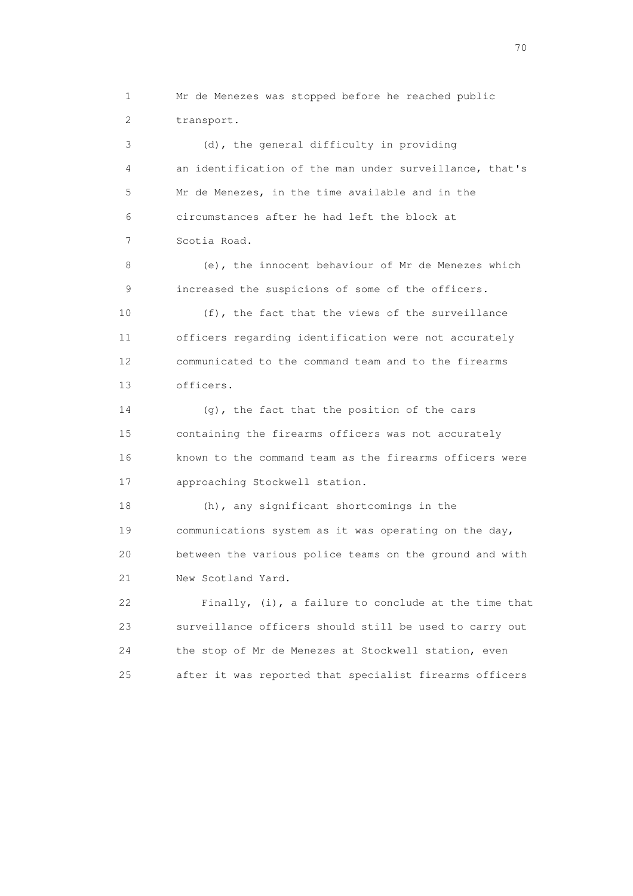1 Mr de Menezes was stopped before he reached public 2 transport. 3 (d), the general difficulty in providing 4 an identification of the man under surveillance, that's 5 Mr de Menezes, in the time available and in the 6 circumstances after he had left the block at 7 Scotia Road. 8 (e), the innocent behaviour of Mr de Menezes which 9 increased the suspicions of some of the officers. 10 (f), the fact that the views of the surveillance 11 officers regarding identification were not accurately 12 communicated to the command team and to the firearms 13 officers. 14 (g), the fact that the position of the cars 15 containing the firearms officers was not accurately 16 known to the command team as the firearms officers were 17 approaching Stockwell station. 18 (h), any significant shortcomings in the 19 communications system as it was operating on the day, 20 between the various police teams on the ground and with 21 New Scotland Yard. 22 Finally, (i), a failure to conclude at the time that 23 surveillance officers should still be used to carry out 24 the stop of Mr de Menezes at Stockwell station, even 25 after it was reported that specialist firearms officers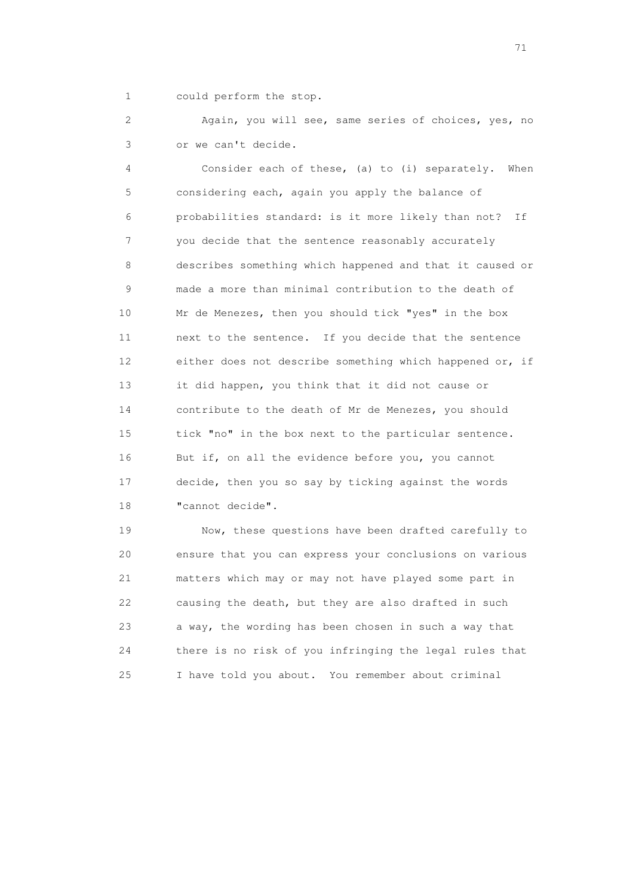1 could perform the stop.

 2 Again, you will see, same series of choices, yes, no 3 or we can't decide.

 4 Consider each of these, (a) to (i) separately. When 5 considering each, again you apply the balance of 6 probabilities standard: is it more likely than not? If 7 you decide that the sentence reasonably accurately 8 describes something which happened and that it caused or 9 made a more than minimal contribution to the death of 10 Mr de Menezes, then you should tick "yes" in the box 11 next to the sentence. If you decide that the sentence 12 either does not describe something which happened or, if 13 it did happen, you think that it did not cause or 14 contribute to the death of Mr de Menezes, you should 15 tick "no" in the box next to the particular sentence. 16 But if, on all the evidence before you, you cannot 17 decide, then you so say by ticking against the words 18 "cannot decide".

 19 Now, these questions have been drafted carefully to 20 ensure that you can express your conclusions on various 21 matters which may or may not have played some part in 22 causing the death, but they are also drafted in such 23 a way, the wording has been chosen in such a way that 24 there is no risk of you infringing the legal rules that 25 I have told you about. You remember about criminal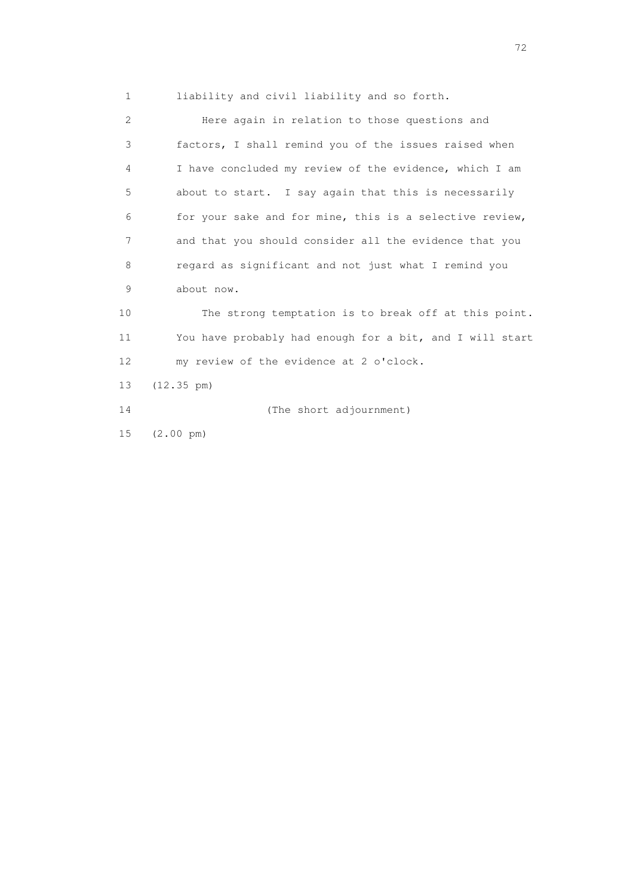1 liability and civil liability and so forth.

 2 Here again in relation to those questions and 3 factors, I shall remind you of the issues raised when 4 I have concluded my review of the evidence, which I am 5 about to start. I say again that this is necessarily 6 for your sake and for mine, this is a selective review, 7 and that you should consider all the evidence that you 8 regard as significant and not just what I remind you 9 about now. 10 The strong temptation is to break off at this point. 11 You have probably had enough for a bit, and I will start 12 my review of the evidence at 2 o'clock. 13 (12.35 pm) 14 (The short adjournment) 15 (2.00 pm)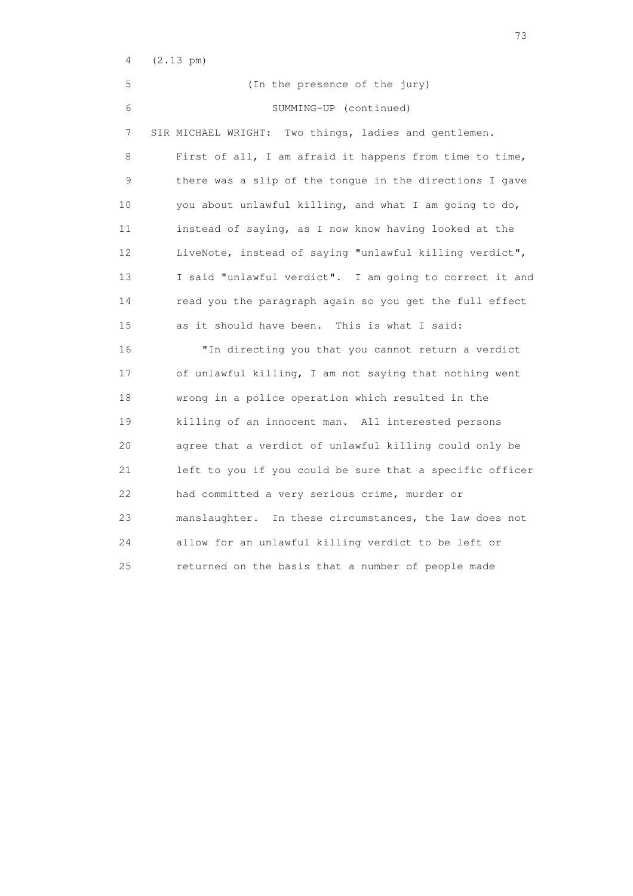| 4               | $(2.13 \text{ pm})$                                      |
|-----------------|----------------------------------------------------------|
| 5               | (In the presence of the jury)                            |
| 6               | SUMMING-UP (continued)                                   |
| 7               | Two things, ladies and gentlemen.<br>SIR MICHAEL WRIGHT: |
| 8               | First of all, I am afraid it happens from time to time,  |
| 9               | there was a slip of the tongue in the directions I gave  |
| 10              | you about unlawful killing, and what I am going to do,   |
| 11              | instead of saying, as I now know having looked at the    |
| 12 <sup>°</sup> | LiveNote, instead of saying "unlawful killing verdict",  |
| 13              | I said "unlawful verdict". I am going to correct it and  |
| 14              | read you the paragraph again so you get the full effect  |
| 15              | as it should have been. This is what I said:             |
| 16              | "In directing you that you cannot return a verdict       |
| 17              | of unlawful killing, I am not saying that nothing went   |
| 18              | wrong in a police operation which resulted in the        |
| 19              | killing of an innocent man. All interested persons       |
| 20              | agree that a verdict of unlawful killing could only be   |
| 21              | left to you if you could be sure that a specific officer |
| 22              | had committed a very serious crime, murder or            |
| 23              | manslaughter. In these circumstances, the law does not   |
| 24              | allow for an unlawful killing verdict to be left or      |
| 25              | returned on the basis that a number of people made       |

<u>23</u> and 23 and 23 and 23 and 23 and 23 and 23 and 23 and 23 and 23 and 23 and 23 and 23 and 23 and 23 and 23 and 23 and 23 and 23 and 23 and 23 and 23 and 23 and 23 and 23 and 23 and 23 and 23 and 23 and 23 and 23 and 23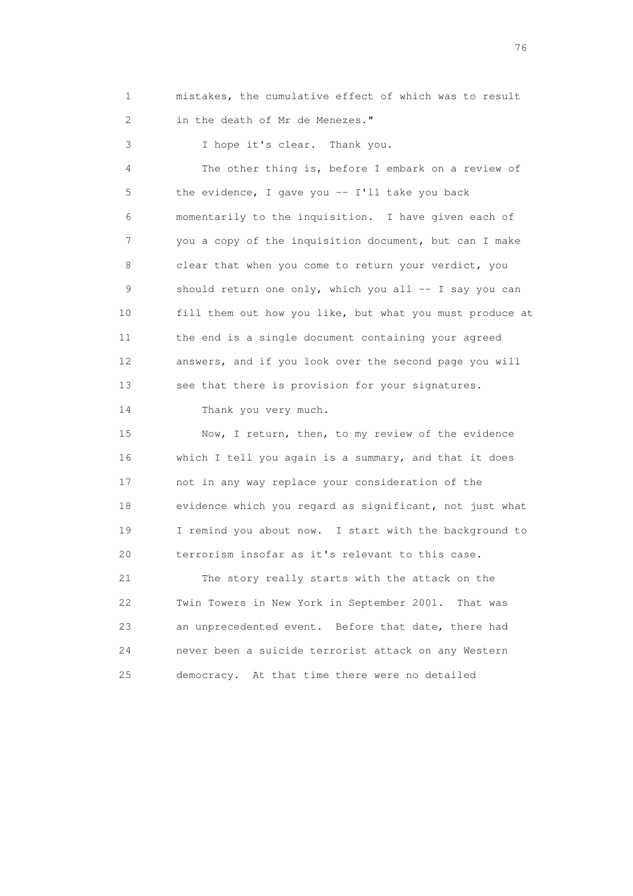1 mistakes, the cumulative effect of which was to result 2 in the death of Mr de Menezes."

3 I hope it's clear. Thank you.

 4 The other thing is, before I embark on a review of 5 the evidence, I gave you -- I'll take you back 6 momentarily to the inquisition. I have given each of 7 you a copy of the inquisition document, but can I make 8 clear that when you come to return your verdict, you 9 should return one only, which you all -- I say you can 10 fill them out how you like, but what you must produce at 11 the end is a single document containing your agreed 12 answers, and if you look over the second page you will 13 see that there is provision for your signatures.

14 Thank you very much.

 15 Now, I return, then, to my review of the evidence 16 which I tell you again is a summary, and that it does 17 not in any way replace your consideration of the 18 evidence which you regard as significant, not just what 19 I remind you about now. I start with the background to 20 terrorism insofar as it's relevant to this case.

 21 The story really starts with the attack on the 22 Twin Towers in New York in September 2001. That was 23 an unprecedented event. Before that date, there had 24 never been a suicide terrorist attack on any Western 25 democracy. At that time there were no detailed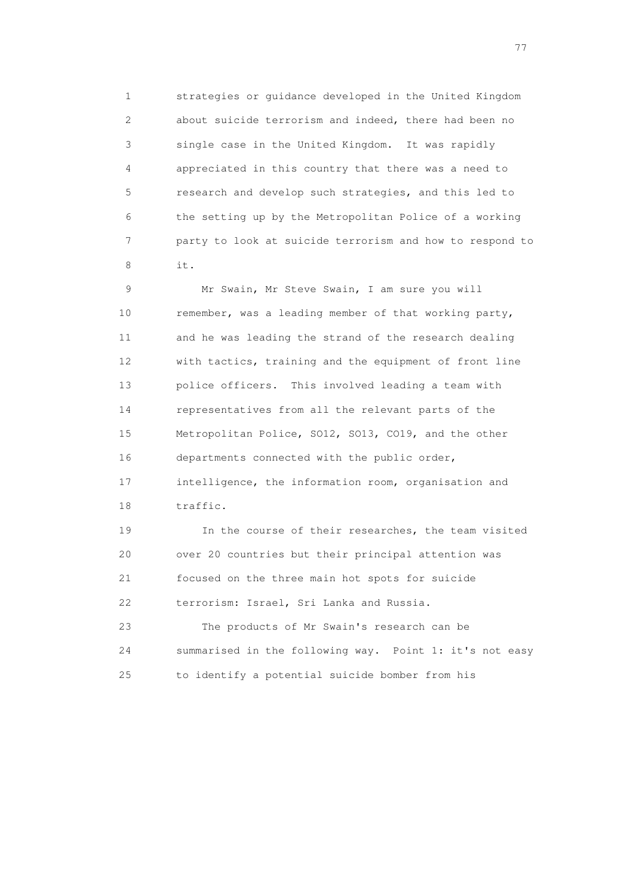1 strategies or guidance developed in the United Kingdom 2 about suicide terrorism and indeed, there had been no 3 single case in the United Kingdom. It was rapidly 4 appreciated in this country that there was a need to 5 research and develop such strategies, and this led to 6 the setting up by the Metropolitan Police of a working 7 party to look at suicide terrorism and how to respond to 8 it.

 9 Mr Swain, Mr Steve Swain, I am sure you will 10 remember, was a leading member of that working party, 11 and he was leading the strand of the research dealing 12 with tactics, training and the equipment of front line 13 police officers. This involved leading a team with 14 representatives from all the relevant parts of the 15 Metropolitan Police, SO12, SO13, CO19, and the other 16 departments connected with the public order, 17 intelligence, the information room, organisation and 18 traffic. 19 In the course of their researches, the team visited

 20 over 20 countries but their principal attention was 21 focused on the three main hot spots for suicide 22 terrorism: Israel, Sri Lanka and Russia.

 23 The products of Mr Swain's research can be 24 summarised in the following way. Point 1: it's not easy 25 to identify a potential suicide bomber from his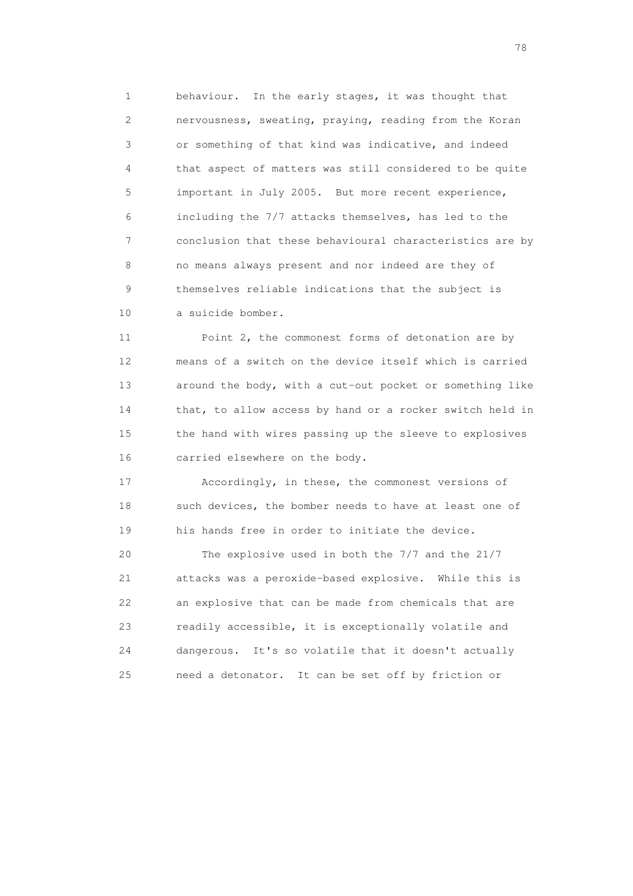1 behaviour. In the early stages, it was thought that 2 nervousness, sweating, praying, reading from the Koran 3 or something of that kind was indicative, and indeed 4 that aspect of matters was still considered to be quite 5 important in July 2005. But more recent experience, 6 including the 7/7 attacks themselves, has led to the 7 conclusion that these behavioural characteristics are by 8 no means always present and nor indeed are they of 9 themselves reliable indications that the subject is 10 a suicide bomber.

 11 Point 2, the commonest forms of detonation are by 12 means of a switch on the device itself which is carried 13 around the body, with a cut-out pocket or something like 14 that, to allow access by hand or a rocker switch held in 15 the hand with wires passing up the sleeve to explosives 16 carried elsewhere on the body.

 17 Accordingly, in these, the commonest versions of 18 such devices, the bomber needs to have at least one of 19 his hands free in order to initiate the device.

 20 The explosive used in both the 7/7 and the 21/7 21 attacks was a peroxide-based explosive. While this is 22 an explosive that can be made from chemicals that are 23 readily accessible, it is exceptionally volatile and 24 dangerous. It's so volatile that it doesn't actually 25 need a detonator. It can be set off by friction or

na na matsayang mga kasang mga kalendaryon ng mga kasang mga kasang mga kasang mga kasang mga kasang mga kasan<br>Mga kasang mga kasang mga kasang mga kasang mga kasang mga kasang mga kasang mga kasang mga kasang mga kasang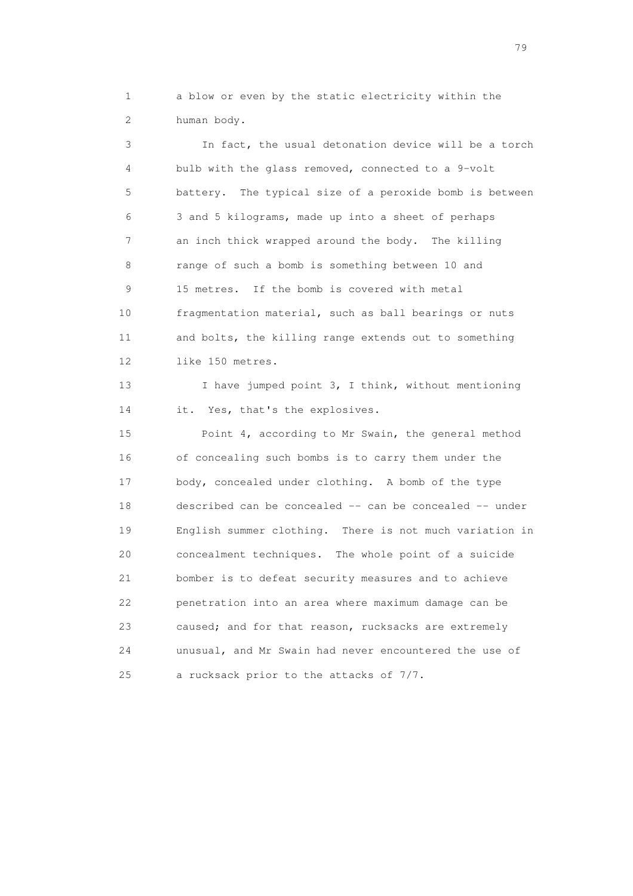1 a blow or even by the static electricity within the 2 human body.

 3 In fact, the usual detonation device will be a torch 4 bulb with the glass removed, connected to a 9-volt 5 battery. The typical size of a peroxide bomb is between 6 3 and 5 kilograms, made up into a sheet of perhaps 7 an inch thick wrapped around the body. The killing 8 range of such a bomb is something between 10 and 9 15 metres. If the bomb is covered with metal 10 fragmentation material, such as ball bearings or nuts 11 and bolts, the killing range extends out to something 12 like 150 metres.

13 I have jumped point 3, I think, without mentioning 14 it. Yes, that's the explosives.

 15 Point 4, according to Mr Swain, the general method 16 of concealing such bombs is to carry them under the 17 body, concealed under clothing. A bomb of the type 18 described can be concealed -- can be concealed -- under 19 English summer clothing. There is not much variation in 20 concealment techniques. The whole point of a suicide 21 bomber is to defeat security measures and to achieve 22 penetration into an area where maximum damage can be 23 caused; and for that reason, rucksacks are extremely 24 unusual, and Mr Swain had never encountered the use of 25 a rucksack prior to the attacks of 7/7.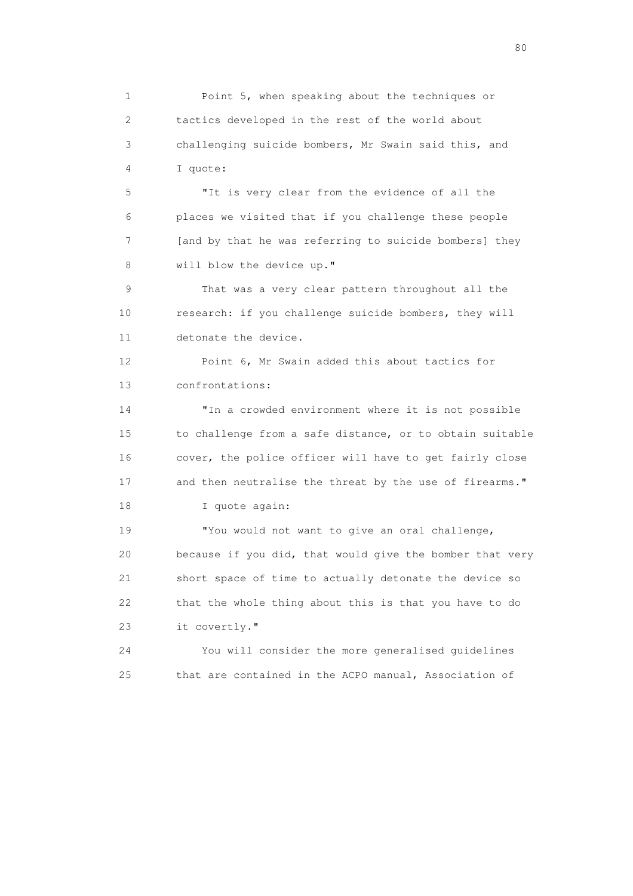1 Point 5, when speaking about the techniques or 2 tactics developed in the rest of the world about 3 challenging suicide bombers, Mr Swain said this, and 4 I quote:

 5 "It is very clear from the evidence of all the 6 places we visited that if you challenge these people 7 [and by that he was referring to suicide bombers] they 8 will blow the device up."

 9 That was a very clear pattern throughout all the 10 research: if you challenge suicide bombers, they will 11 detonate the device.

 12 Point 6, Mr Swain added this about tactics for 13 confrontations:

 14 "In a crowded environment where it is not possible 15 to challenge from a safe distance, or to obtain suitable 16 cover, the police officer will have to get fairly close 17 and then neutralise the threat by the use of firearms." 18 I quote again:

 19 "You would not want to give an oral challenge, 20 because if you did, that would give the bomber that very 21 short space of time to actually detonate the device so 22 that the whole thing about this is that you have to do 23 it covertly."

 24 You will consider the more generalised guidelines 25 that are contained in the ACPO manual, Association of

entration of the state of the state of the state of the state of the state of the state of the state of the state of the state of the state of the state of the state of the state of the state of the state of the state of t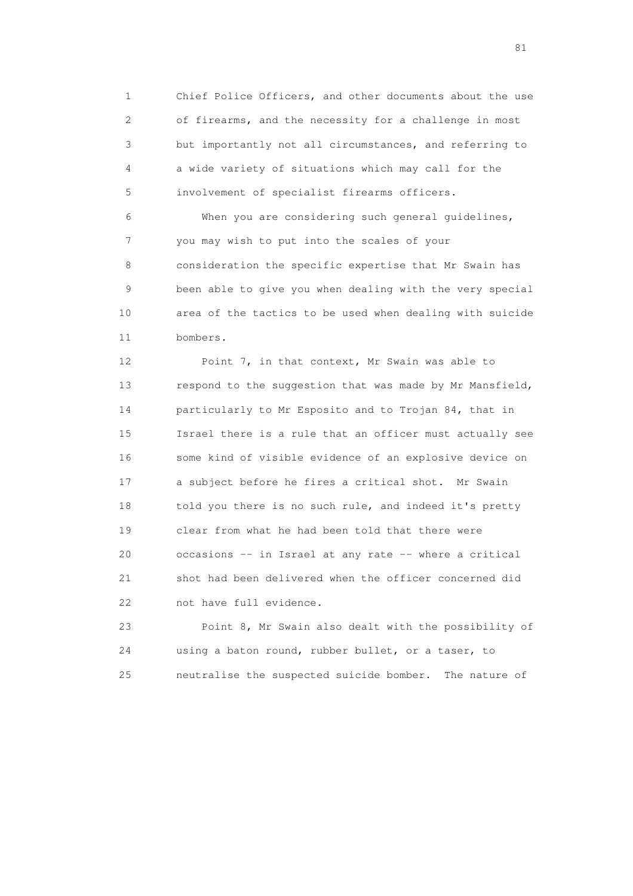1 Chief Police Officers, and other documents about the use 2 of firearms, and the necessity for a challenge in most 3 but importantly not all circumstances, and referring to 4 a wide variety of situations which may call for the 5 involvement of specialist firearms officers.

 6 When you are considering such general guidelines, 7 you may wish to put into the scales of your 8 consideration the specific expertise that Mr Swain has 9 been able to give you when dealing with the very special 10 area of the tactics to be used when dealing with suicide 11 bombers.

 12 Point 7, in that context, Mr Swain was able to 13 respond to the suggestion that was made by Mr Mansfield, 14 particularly to Mr Esposito and to Trojan 84, that in 15 Israel there is a rule that an officer must actually see 16 some kind of visible evidence of an explosive device on 17 a subject before he fires a critical shot. Mr Swain 18 told you there is no such rule, and indeed it's pretty 19 clear from what he had been told that there were 20 occasions -- in Israel at any rate -- where a critical 21 shot had been delivered when the officer concerned did 22 not have full evidence.

 23 Point 8, Mr Swain also dealt with the possibility of 24 using a baton round, rubber bullet, or a taser, to 25 neutralise the suspected suicide bomber. The nature of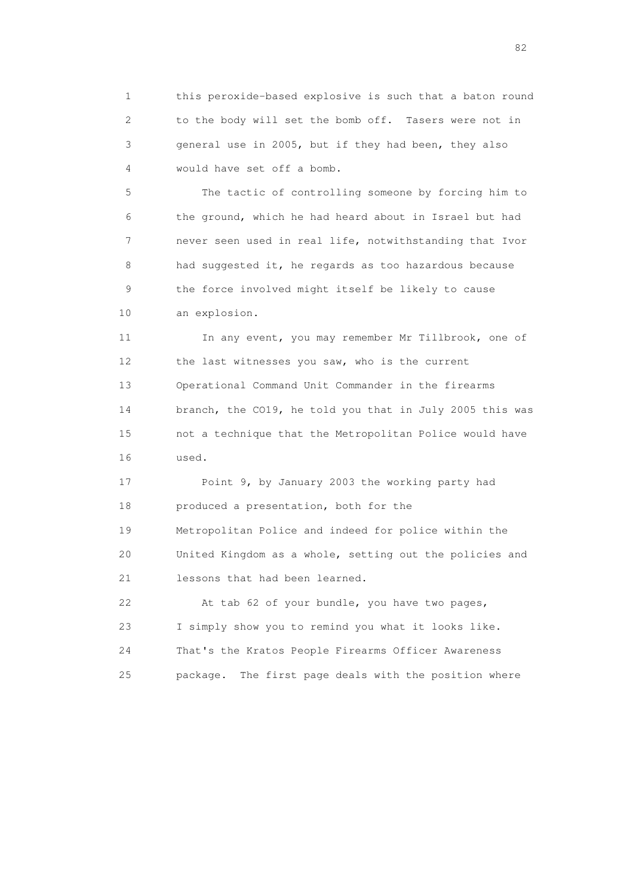1 this peroxide-based explosive is such that a baton round 2 to the body will set the bomb off. Tasers were not in 3 general use in 2005, but if they had been, they also 4 would have set off a bomb.

 5 The tactic of controlling someone by forcing him to 6 the ground, which he had heard about in Israel but had 7 never seen used in real life, notwithstanding that Ivor 8 had suggested it, he regards as too hazardous because 9 the force involved might itself be likely to cause 10 an explosion.

11 In any event, you may remember Mr Tillbrook, one of 12 the last witnesses you saw, who is the current 13 Operational Command Unit Commander in the firearms 14 branch, the CO19, he told you that in July 2005 this was 15 not a technique that the Metropolitan Police would have 16 used.

 17 Point 9, by January 2003 the working party had 18 produced a presentation, both for the 19 Metropolitan Police and indeed for police within the 20 United Kingdom as a whole, setting out the policies and 21 lessons that had been learned.

 22 At tab 62 of your bundle, you have two pages, 23 I simply show you to remind you what it looks like. 24 That's the Kratos People Firearms Officer Awareness 25 package. The first page deals with the position where

experience of the state of the state of the state of the state of the state of the state of the state of the s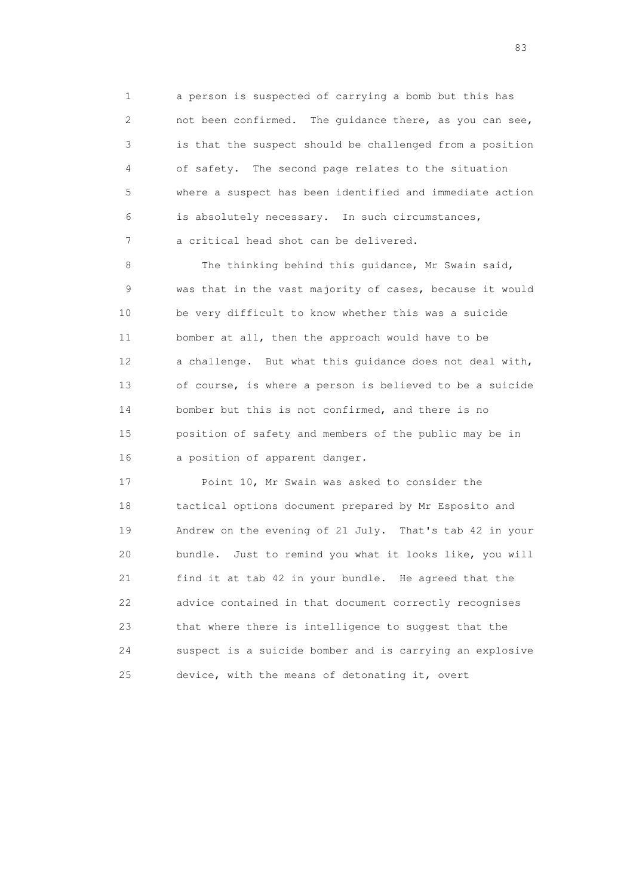1 a person is suspected of carrying a bomb but this has 2 not been confirmed. The guidance there, as you can see, 3 is that the suspect should be challenged from a position 4 of safety. The second page relates to the situation 5 where a suspect has been identified and immediate action 6 is absolutely necessary. In such circumstances, 7 a critical head shot can be delivered.

8 The thinking behind this guidance, Mr Swain said, 9 was that in the vast majority of cases, because it would 10 be very difficult to know whether this was a suicide 11 bomber at all, then the approach would have to be 12 a challenge. But what this guidance does not deal with, 13 of course, is where a person is believed to be a suicide 14 bomber but this is not confirmed, and there is no 15 position of safety and members of the public may be in 16 a position of apparent danger.

 17 Point 10, Mr Swain was asked to consider the 18 tactical options document prepared by Mr Esposito and 19 Andrew on the evening of 21 July. That's tab 42 in your 20 bundle. Just to remind you what it looks like, you will 21 find it at tab 42 in your bundle. He agreed that the 22 advice contained in that document correctly recognises 23 that where there is intelligence to suggest that the 24 suspect is a suicide bomber and is carrying an explosive 25 device, with the means of detonating it, overt

experience of the contract of the contract of the contract of the contract of the contract of the contract of the contract of the contract of the contract of the contract of the contract of the contract of the contract of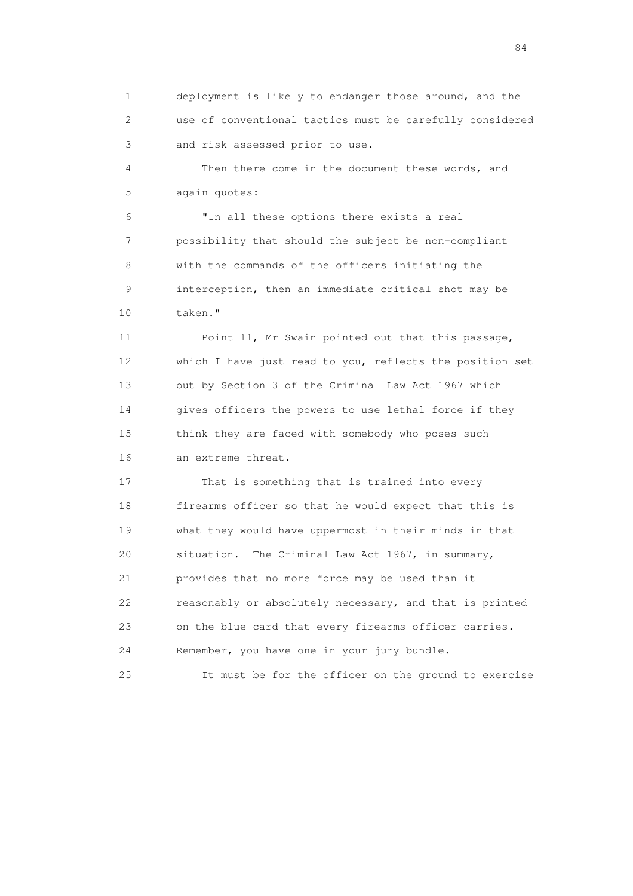1 deployment is likely to endanger those around, and the 2 use of conventional tactics must be carefully considered 3 and risk assessed prior to use.

 4 Then there come in the document these words, and 5 again quotes:

 6 "In all these options there exists a real 7 possibility that should the subject be non-compliant 8 with the commands of the officers initiating the 9 interception, then an immediate critical shot may be 10 taken."

 11 Point 11, Mr Swain pointed out that this passage, 12 which I have just read to you, reflects the position set 13 out by Section 3 of the Criminal Law Act 1967 which 14 gives officers the powers to use lethal force if they 15 think they are faced with somebody who poses such 16 an extreme threat.

 17 That is something that is trained into every 18 firearms officer so that he would expect that this is 19 what they would have uppermost in their minds in that 20 situation. The Criminal Law Act 1967, in summary, 21 provides that no more force may be used than it 22 reasonably or absolutely necessary, and that is printed 23 on the blue card that every firearms officer carries. 24 Remember, you have one in your jury bundle.

25 It must be for the officer on the ground to exercise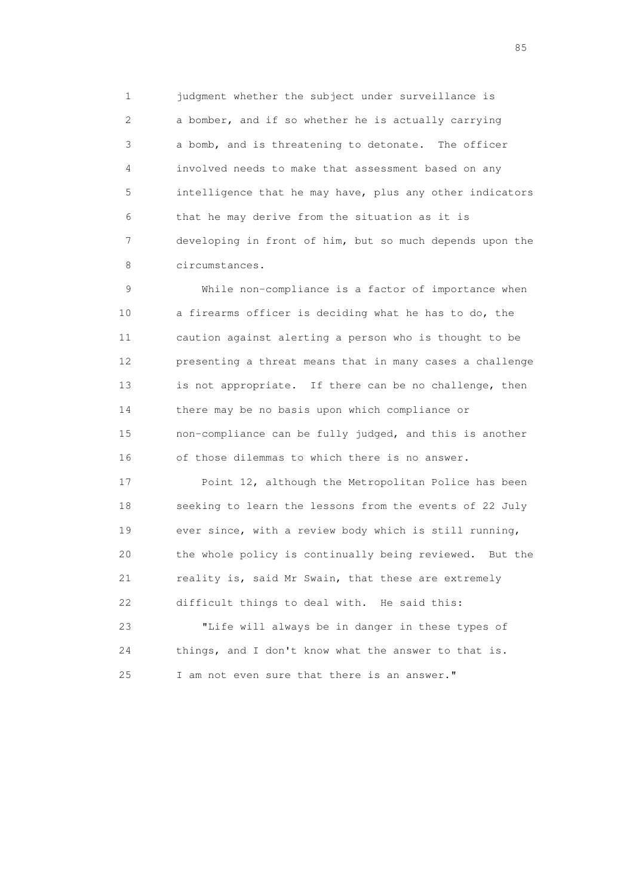1 judgment whether the subject under surveillance is 2 a bomber, and if so whether he is actually carrying 3 a bomb, and is threatening to detonate. The officer 4 involved needs to make that assessment based on any 5 intelligence that he may have, plus any other indicators 6 that he may derive from the situation as it is 7 developing in front of him, but so much depends upon the 8 circumstances.

 9 While non-compliance is a factor of importance when 10 a firearms officer is deciding what he has to do, the 11 caution against alerting a person who is thought to be 12 presenting a threat means that in many cases a challenge 13 is not appropriate. If there can be no challenge, then 14 there may be no basis upon which compliance or 15 non-compliance can be fully judged, and this is another 16 of those dilemmas to which there is no answer.

 17 Point 12, although the Metropolitan Police has been 18 seeking to learn the lessons from the events of 22 July 19 ever since, with a review body which is still running, 20 the whole policy is continually being reviewed. But the 21 reality is, said Mr Swain, that these are extremely 22 difficult things to deal with. He said this:

 23 "Life will always be in danger in these types of 24 things, and I don't know what the answer to that is. 25 I am not even sure that there is an answer."

experience of the contract of the contract of the contract of the contract of the contract of the contract of the contract of the contract of the contract of the contract of the contract of the contract of the contract of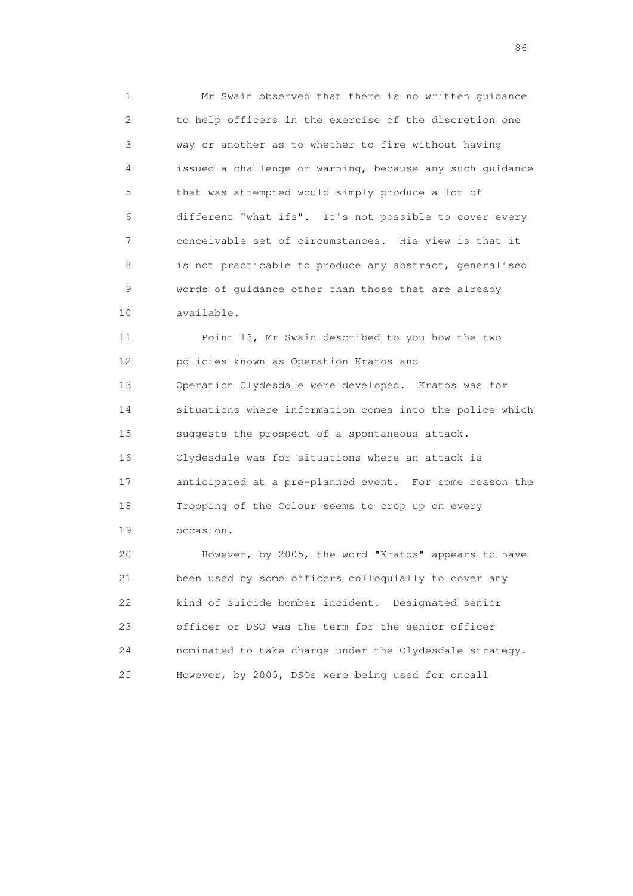1 Mr Swain observed that there is no written guidance 2 to help officers in the exercise of the discretion one 3 way or another as to whether to fire without having 4 issued a challenge or warning, because any such guidance 5 that was attempted would simply produce a lot of 6 different "what ifs". It's not possible to cover every 7 conceivable set of circumstances. His view is that it 8 is not practicable to produce any abstract, generalised 9 words of guidance other than those that are already 10 available.

 11 Point 13, Mr Swain described to you how the two 12 policies known as Operation Kratos and 13 Operation Clydesdale were developed. Kratos was for 14 situations where information comes into the police which 15 suggests the prospect of a spontaneous attack. 16 Clydesdale was for situations where an attack is 17 anticipated at a pre-planned event. For some reason the 18 Trooping of the Colour seems to crop up on every 19 occasion.

 20 However, by 2005, the word "Kratos" appears to have 21 been used by some officers colloquially to cover any 22 kind of suicide bomber incident. Designated senior 23 officer or DSO was the term for the senior officer 24 nominated to take charge under the Clydesdale strategy. 25 However, by 2005, DSOs were being used for oncall

entration of the contract of the contract of the contract of the contract of the contract of the contract of the contract of the contract of the contract of the contract of the contract of the contract of the contract of t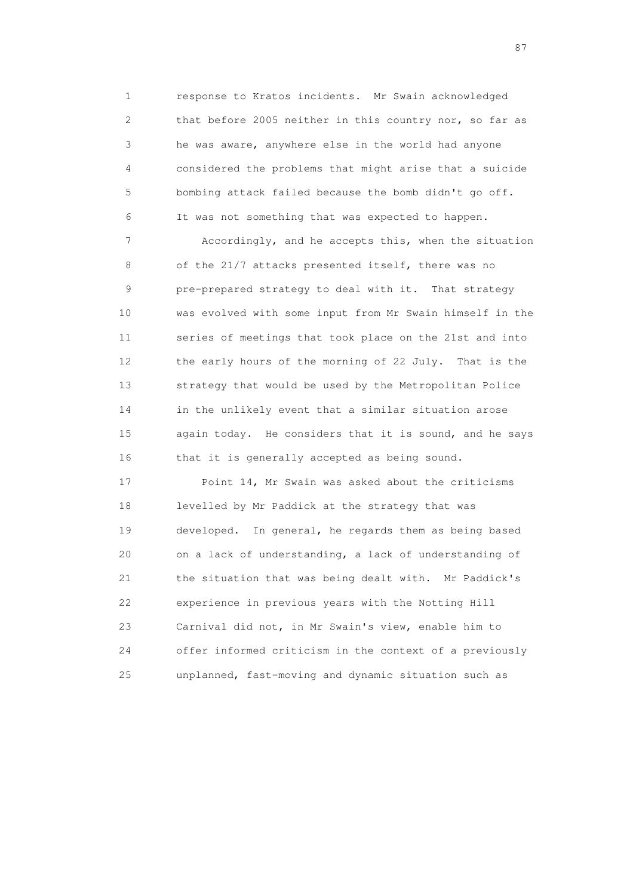1 response to Kratos incidents. Mr Swain acknowledged 2 that before 2005 neither in this country nor, so far as 3 he was aware, anywhere else in the world had anyone 4 considered the problems that might arise that a suicide 5 bombing attack failed because the bomb didn't go off. 6 It was not something that was expected to happen.

 7 Accordingly, and he accepts this, when the situation 8 of the 21/7 attacks presented itself, there was no 9 pre-prepared strategy to deal with it. That strategy 10 was evolved with some input from Mr Swain himself in the 11 series of meetings that took place on the 21st and into 12 the early hours of the morning of 22 July. That is the 13 strategy that would be used by the Metropolitan Police 14 in the unlikely event that a similar situation arose 15 again today. He considers that it is sound, and he says 16 that it is generally accepted as being sound.

 17 Point 14, Mr Swain was asked about the criticisms 18 levelled by Mr Paddick at the strategy that was 19 developed. In general, he regards them as being based 20 on a lack of understanding, a lack of understanding of 21 the situation that was being dealt with. Mr Paddick's 22 experience in previous years with the Notting Hill 23 Carnival did not, in Mr Swain's view, enable him to 24 offer informed criticism in the context of a previously 25 unplanned, fast-moving and dynamic situation such as

experience of the state of the state of the state of the state of the state of the state of the state of the s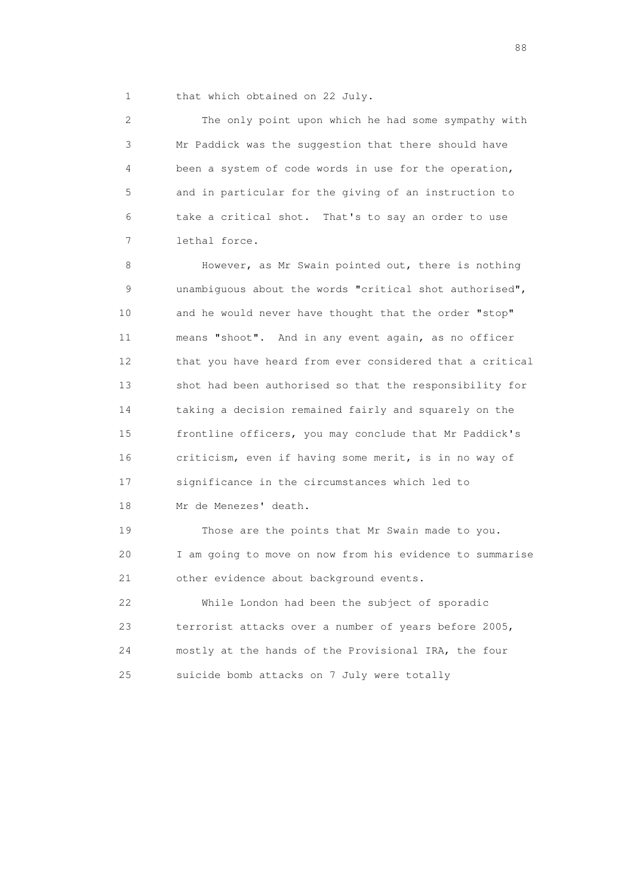1 that which obtained on 22 July.

 2 The only point upon which he had some sympathy with 3 Mr Paddick was the suggestion that there should have 4 been a system of code words in use for the operation, 5 and in particular for the giving of an instruction to 6 take a critical shot. That's to say an order to use 7 lethal force.

 8 However, as Mr Swain pointed out, there is nothing 9 unambiguous about the words "critical shot authorised", 10 and he would never have thought that the order "stop" 11 means "shoot". And in any event again, as no officer 12 that you have heard from ever considered that a critical 13 shot had been authorised so that the responsibility for 14 taking a decision remained fairly and squarely on the 15 frontline officers, you may conclude that Mr Paddick's 16 criticism, even if having some merit, is in no way of 17 significance in the circumstances which led to 18 Mr de Menezes' death.

 19 Those are the points that Mr Swain made to you. 20 I am going to move on now from his evidence to summarise 21 other evidence about background events.

 22 While London had been the subject of sporadic 23 terrorist attacks over a number of years before 2005, 24 mostly at the hands of the Provisional IRA, the four 25 suicide bomb attacks on 7 July were totally

en de la construction de la construction de la construction de la construction de la construction de la constr<br>1880 : le construction de la construction de la construction de la construction de la construction de la const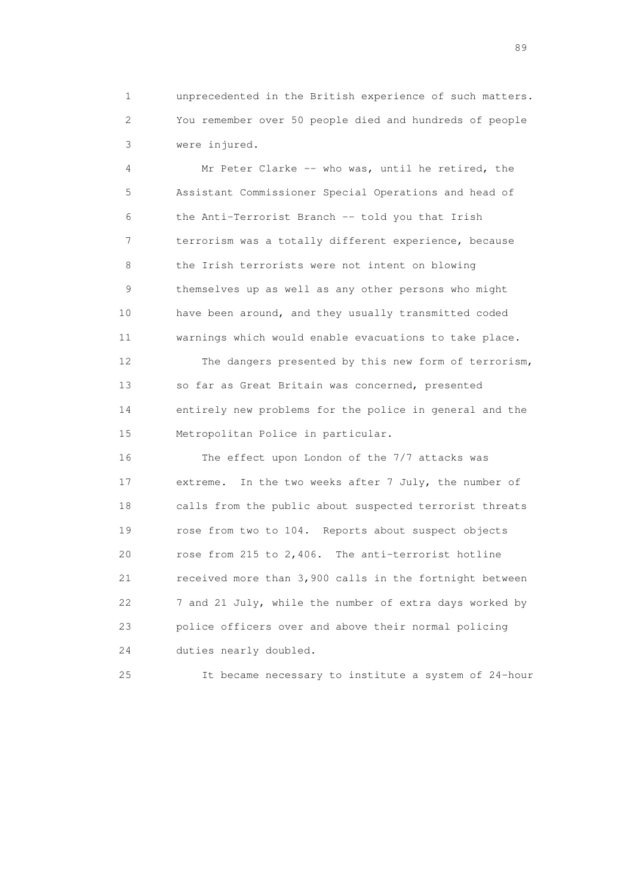1 unprecedented in the British experience of such matters. 2 You remember over 50 people died and hundreds of people 3 were injured.

 4 Mr Peter Clarke -- who was, until he retired, the 5 Assistant Commissioner Special Operations and head of 6 the Anti-Terrorist Branch -- told you that Irish 7 terrorism was a totally different experience, because 8 the Irish terrorists were not intent on blowing 9 themselves up as well as any other persons who might 10 have been around, and they usually transmitted coded 11 warnings which would enable evacuations to take place.

 12 The dangers presented by this new form of terrorism, 13 so far as Great Britain was concerned, presented 14 entirely new problems for the police in general and the 15 Metropolitan Police in particular.

 16 The effect upon London of the 7/7 attacks was 17 extreme. In the two weeks after 7 July, the number of 18 calls from the public about suspected terrorist threats 19 rose from two to 104. Reports about suspect objects 20 rose from 215 to 2,406. The anti-terrorist hotline 21 received more than 3,900 calls in the fortnight between 22 7 and 21 July, while the number of extra days worked by 23 police officers over and above their normal policing 24 duties nearly doubled.

25 It became necessary to institute a system of 24-hour

en andere de la provincia de la provincia de la provincia de la provincia de la provincia de la provincia de l<br>En 1910, en la provincia de la provincia de la provincia de la provincia de la provincia de la provincia de la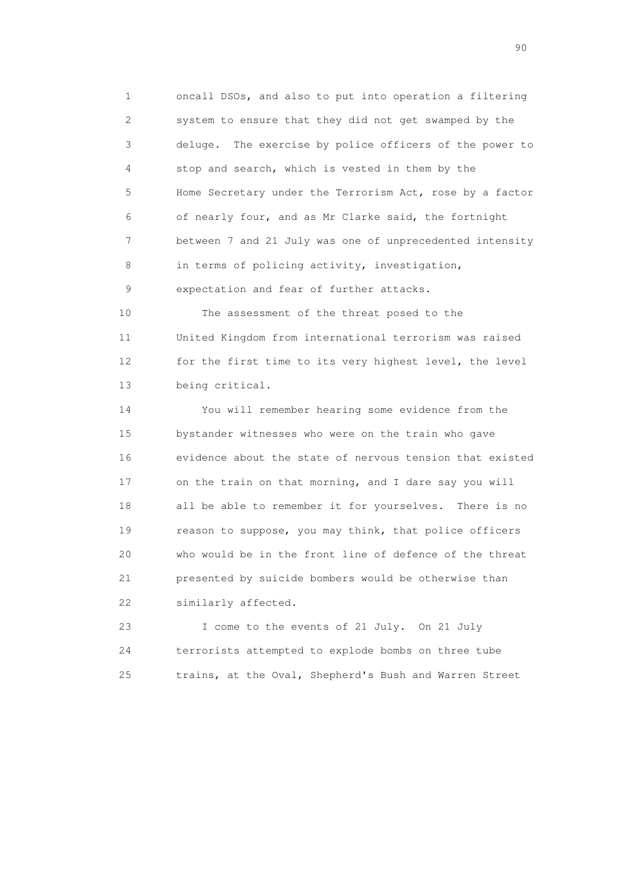1 oncall DSOs, and also to put into operation a filtering 2 system to ensure that they did not get swamped by the 3 deluge. The exercise by police officers of the power to 4 stop and search, which is vested in them by the 5 Home Secretary under the Terrorism Act, rose by a factor 6 of nearly four, and as Mr Clarke said, the fortnight 7 between 7 and 21 July was one of unprecedented intensity 8 in terms of policing activity, investigation, 9 expectation and fear of further attacks.

 10 The assessment of the threat posed to the 11 United Kingdom from international terrorism was raised 12 for the first time to its very highest level, the level 13 being critical.

 14 You will remember hearing some evidence from the 15 bystander witnesses who were on the train who gave 16 evidence about the state of nervous tension that existed 17 on the train on that morning, and I dare say you will 18 all be able to remember it for yourselves. There is no 19 reason to suppose, you may think, that police officers 20 who would be in the front line of defence of the threat 21 presented by suicide bombers would be otherwise than 22 similarly affected.

 23 I come to the events of 21 July. On 21 July 24 terrorists attempted to explode bombs on three tube 25 trains, at the Oval, Shepherd's Bush and Warren Street

entral de la construction de la construction de la construction de la construction de la construction de la co<br>1900 : le construction de la construction de la construction de la construction de la construction de la const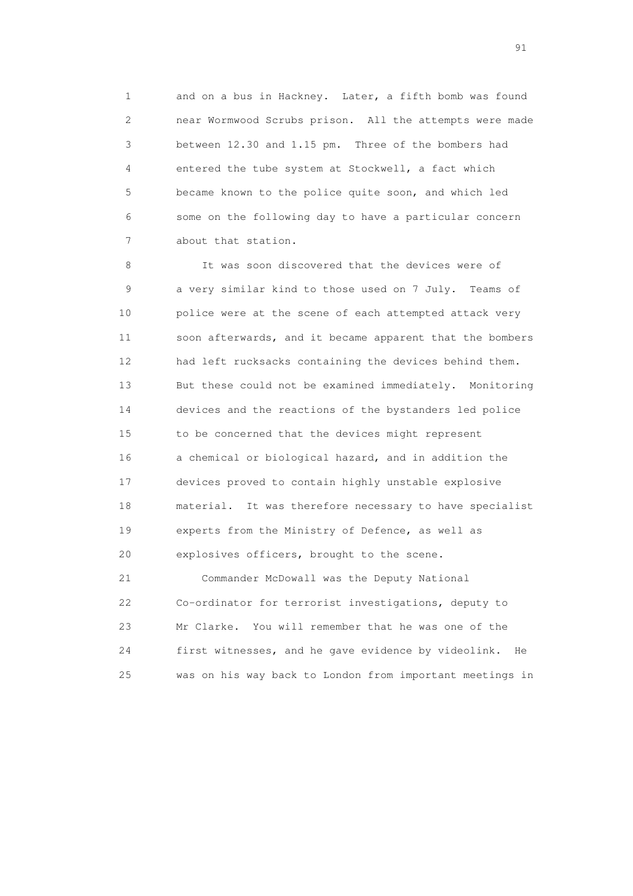1 and on a bus in Hackney. Later, a fifth bomb was found 2 near Wormwood Scrubs prison. All the attempts were made 3 between 12.30 and 1.15 pm. Three of the bombers had 4 entered the tube system at Stockwell, a fact which 5 became known to the police quite soon, and which led 6 some on the following day to have a particular concern 7 about that station.

 8 It was soon discovered that the devices were of 9 a very similar kind to those used on 7 July. Teams of 10 police were at the scene of each attempted attack very 11 soon afterwards, and it became apparent that the bombers 12 had left rucksacks containing the devices behind them. 13 But these could not be examined immediately. Monitoring 14 devices and the reactions of the bystanders led police 15 to be concerned that the devices might represent 16 a chemical or biological hazard, and in addition the 17 devices proved to contain highly unstable explosive 18 material. It was therefore necessary to have specialist 19 experts from the Ministry of Defence, as well as 20 explosives officers, brought to the scene.

 21 Commander McDowall was the Deputy National 22 Co-ordinator for terrorist investigations, deputy to 23 Mr Clarke. You will remember that he was one of the 24 first witnesses, and he gave evidence by videolink. He 25 was on his way back to London from important meetings in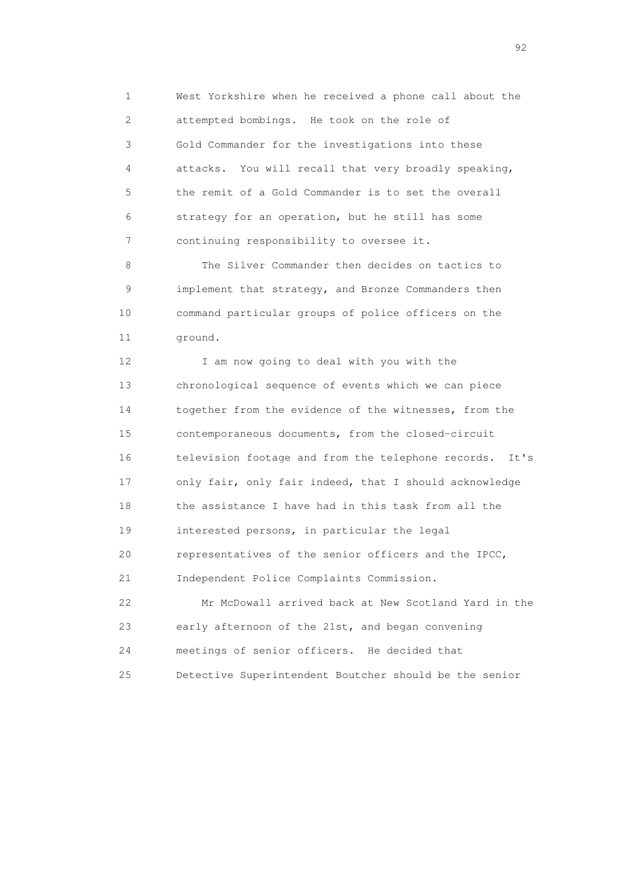1 West Yorkshire when he received a phone call about the 2 attempted bombings. He took on the role of 3 Gold Commander for the investigations into these 4 attacks. You will recall that very broadly speaking, 5 the remit of a Gold Commander is to set the overall 6 strategy for an operation, but he still has some 7 continuing responsibility to oversee it.

 8 The Silver Commander then decides on tactics to 9 implement that strategy, and Bronze Commanders then 10 command particular groups of police officers on the 11 ground.

12 I am now going to deal with you with the 13 chronological sequence of events which we can piece 14 together from the evidence of the witnesses, from the 15 contemporaneous documents, from the closed-circuit 16 television footage and from the telephone records. It's 17 only fair, only fair indeed, that I should acknowledge 18 the assistance I have had in this task from all the 19 interested persons, in particular the legal 20 representatives of the senior officers and the IPCC, 21 Independent Police Complaints Commission.

 22 Mr McDowall arrived back at New Scotland Yard in the 23 early afternoon of the 21st, and began convening 24 meetings of senior officers. He decided that 25 Detective Superintendent Boutcher should be the senior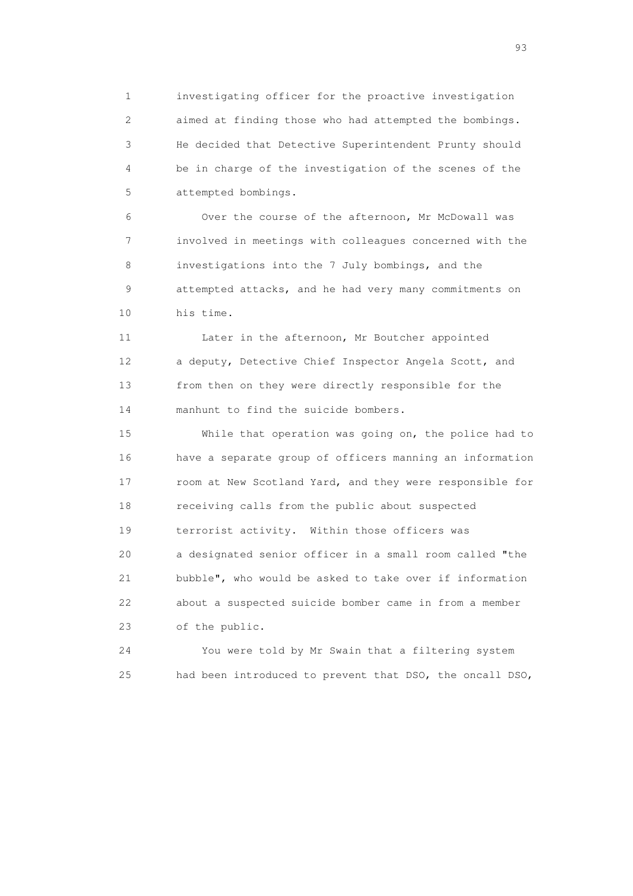1 investigating officer for the proactive investigation 2 aimed at finding those who had attempted the bombings. 3 He decided that Detective Superintendent Prunty should 4 be in charge of the investigation of the scenes of the 5 attempted bombings.

 6 Over the course of the afternoon, Mr McDowall was 7 involved in meetings with colleagues concerned with the 8 investigations into the 7 July bombings, and the 9 attempted attacks, and he had very many commitments on 10 his time.

 11 Later in the afternoon, Mr Boutcher appointed 12 a deputy, Detective Chief Inspector Angela Scott, and 13 from then on they were directly responsible for the 14 manhunt to find the suicide bombers.

 15 While that operation was going on, the police had to 16 have a separate group of officers manning an information 17 room at New Scotland Yard, and they were responsible for 18 receiving calls from the public about suspected 19 terrorist activity. Within those officers was 20 a designated senior officer in a small room called "the 21 bubble", who would be asked to take over if information 22 about a suspected suicide bomber came in from a member 23 of the public.

 24 You were told by Mr Swain that a filtering system 25 had been introduced to prevent that DSO, the oncall DSO,

experience of the contract of the contract of the contract of the contract of the contract of the contract of the contract of the contract of the contract of the contract of the contract of the contract of the contract of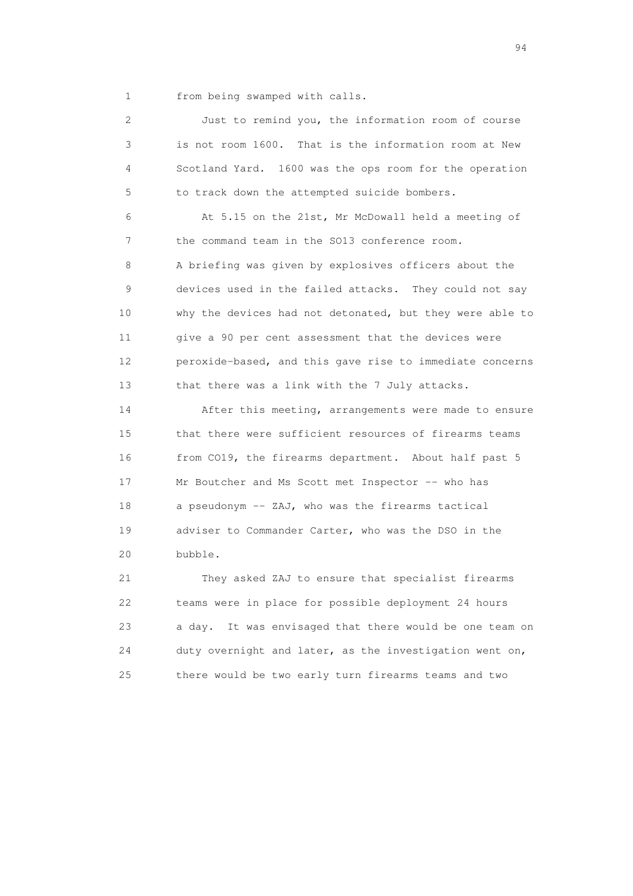1 from being swamped with calls.

 2 Just to remind you, the information room of course 3 is not room 1600. That is the information room at New 4 Scotland Yard. 1600 was the ops room for the operation 5 to track down the attempted suicide bombers.

 6 At 5.15 on the 21st, Mr McDowall held a meeting of 7 the command team in the SO13 conference room. 8 A briefing was given by explosives officers about the 9 devices used in the failed attacks. They could not say 10 why the devices had not detonated, but they were able to 11 give a 90 per cent assessment that the devices were 12 peroxide-based, and this gave rise to immediate concerns 13 that there was a link with the 7 July attacks.

 14 After this meeting, arrangements were made to ensure 15 that there were sufficient resources of firearms teams 16 from CO19, the firearms department. About half past 5 17 Mr Boutcher and Ms Scott met Inspector -- who has 18 a pseudonym -- ZAJ, who was the firearms tactical 19 adviser to Commander Carter, who was the DSO in the 20 bubble.

 21 They asked ZAJ to ensure that specialist firearms 22 teams were in place for possible deployment 24 hours 23 a day. It was envisaged that there would be one team on 24 duty overnight and later, as the investigation went on, 25 there would be two early turn firearms teams and two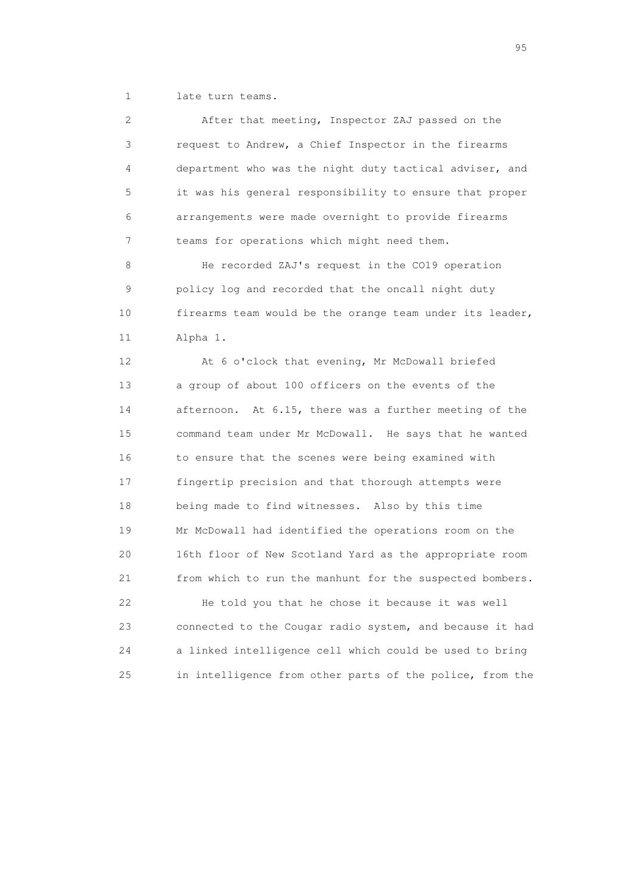1 late turn teams.

 2 After that meeting, Inspector ZAJ passed on the 3 request to Andrew, a Chief Inspector in the firearms 4 department who was the night duty tactical adviser, and 5 it was his general responsibility to ensure that proper 6 arrangements were made overnight to provide firearms 7 teams for operations which might need them. 8 He recorded ZAJ's request in the CO19 operation 9 policy log and recorded that the oncall night duty 10 firearms team would be the orange team under its leader, 11 Alpha 1. 12 At 6 o'clock that evening, Mr McDowall briefed 13 a group of about 100 officers on the events of the 14 afternoon. At 6.15, there was a further meeting of the 15 command team under Mr McDowall. He says that he wanted 16 to ensure that the scenes were being examined with 17 fingertip precision and that thorough attempts were 18 being made to find witnesses. Also by this time 19 Mr McDowall had identified the operations room on the 20 16th floor of New Scotland Yard as the appropriate room 21 from which to run the manhunt for the suspected bombers. 22 He told you that he chose it because it was well 23 connected to the Cougar radio system, and because it had 24 a linked intelligence cell which could be used to bring

25 in intelligence from other parts of the police, from the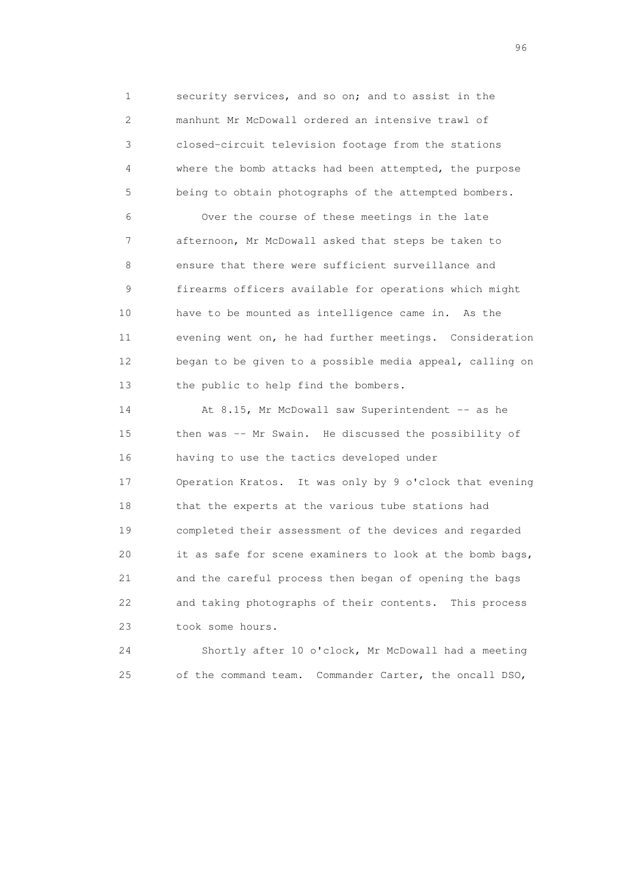1 security services, and so on; and to assist in the 2 manhunt Mr McDowall ordered an intensive trawl of 3 closed-circuit television footage from the stations 4 where the bomb attacks had been attempted, the purpose 5 being to obtain photographs of the attempted bombers.

 6 Over the course of these meetings in the late 7 afternoon, Mr McDowall asked that steps be taken to 8 ensure that there were sufficient surveillance and 9 firearms officers available for operations which might 10 have to be mounted as intelligence came in. As the 11 evening went on, he had further meetings. Consideration 12 began to be given to a possible media appeal, calling on 13 the public to help find the bombers.

14 At 8.15, Mr McDowall saw Superintendent -- as he 15 then was -- Mr Swain. He discussed the possibility of 16 having to use the tactics developed under 17 Operation Kratos. It was only by 9 o'clock that evening 18 that the experts at the various tube stations had 19 completed their assessment of the devices and regarded 20 it as safe for scene examiners to look at the bomb bags, 21 and the careful process then began of opening the bags 22 and taking photographs of their contents. This process 23 took some hours.

 24 Shortly after 10 o'clock, Mr McDowall had a meeting 25 of the command team. Commander Carter, the oncall DSO,

<u>96 and the state of the state of the state of the state of the state of the state of the state of the state of the state of the state of the state of the state of the state of the state of the state of the state of the st</u>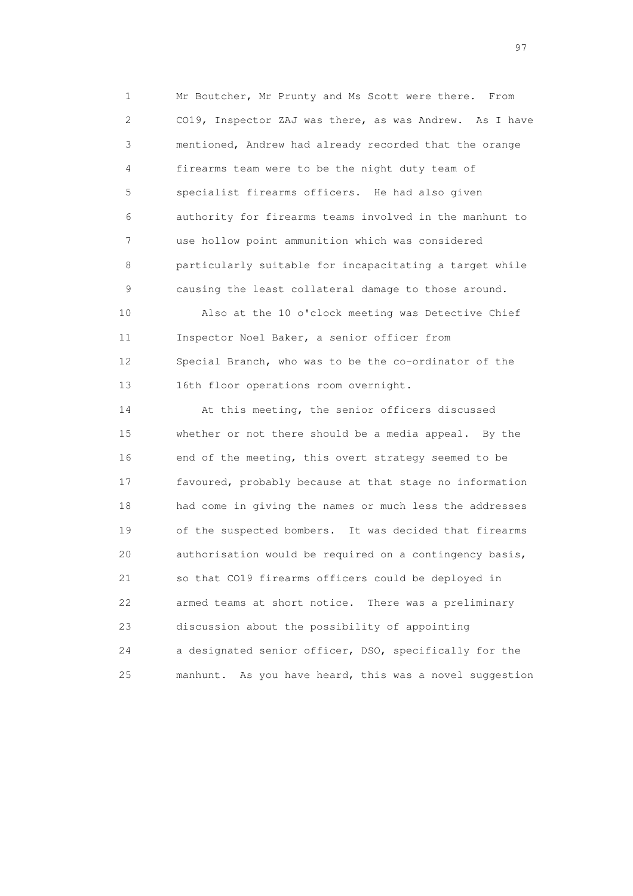1 Mr Boutcher, Mr Prunty and Ms Scott were there. From 2 CO19, Inspector ZAJ was there, as was Andrew. As I have 3 mentioned, Andrew had already recorded that the orange 4 firearms team were to be the night duty team of 5 specialist firearms officers. He had also given 6 authority for firearms teams involved in the manhunt to 7 use hollow point ammunition which was considered 8 particularly suitable for incapacitating a target while 9 causing the least collateral damage to those around.

 10 Also at the 10 o'clock meeting was Detective Chief 11 Inspector Noel Baker, a senior officer from 12 Special Branch, who was to be the co-ordinator of the 13 16th floor operations room overnight.

 14 At this meeting, the senior officers discussed 15 whether or not there should be a media appeal. By the 16 end of the meeting, this overt strategy seemed to be 17 favoured, probably because at that stage no information 18 had come in giving the names or much less the addresses 19 of the suspected bombers. It was decided that firearms 20 authorisation would be required on a contingency basis, 21 so that CO19 firearms officers could be deployed in 22 armed teams at short notice. There was a preliminary 23 discussion about the possibility of appointing 24 a designated senior officer, DSO, specifically for the 25 manhunt. As you have heard, this was a novel suggestion

experience of the contract of the contract of the contract of the contract of the contract of the contract of the contract of the contract of the contract of the contract of the contract of the contract of the contract of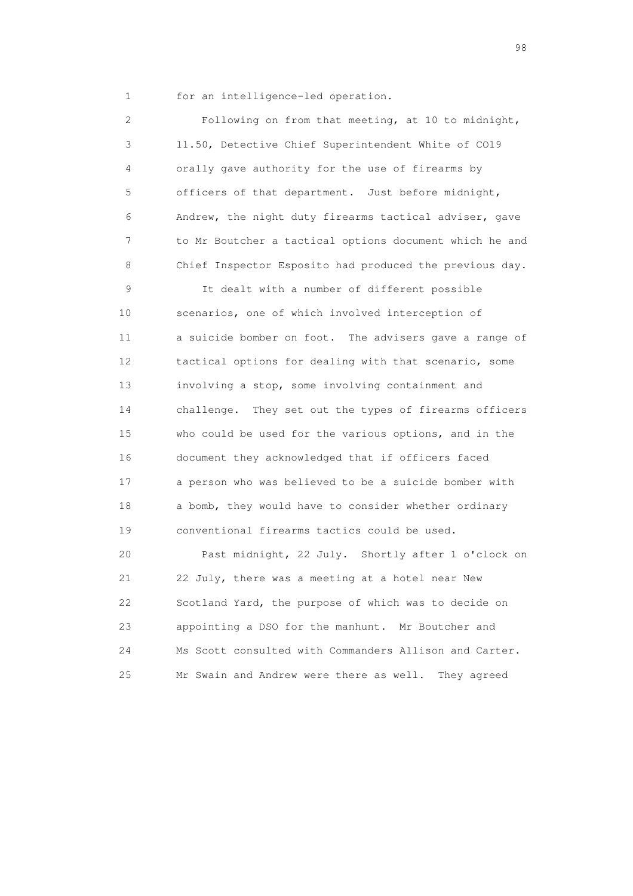1 for an intelligence-led operation.

 2 Following on from that meeting, at 10 to midnight, 3 11.50, Detective Chief Superintendent White of CO19 4 orally gave authority for the use of firearms by 5 officers of that department. Just before midnight, 6 Andrew, the night duty firearms tactical adviser, gave 7 to Mr Boutcher a tactical options document which he and 8 Chief Inspector Esposito had produced the previous day.

 9 It dealt with a number of different possible 10 scenarios, one of which involved interception of 11 a suicide bomber on foot. The advisers gave a range of 12 tactical options for dealing with that scenario, some 13 involving a stop, some involving containment and 14 challenge. They set out the types of firearms officers 15 who could be used for the various options, and in the 16 document they acknowledged that if officers faced 17 a person who was believed to be a suicide bomber with 18 a bomb, they would have to consider whether ordinary 19 conventional firearms tactics could be used.

 20 Past midnight, 22 July. Shortly after 1 o'clock on 21 22 July, there was a meeting at a hotel near New 22 Scotland Yard, the purpose of which was to decide on 23 appointing a DSO for the manhunt. Mr Boutcher and 24 Ms Scott consulted with Commanders Allison and Carter. 25 Mr Swain and Andrew were there as well. They agreed

en 1988 en 1989 en 1989 en 1989 en 1989 en 1989 en 1989 en 1989 en 1989 en 1989 en 1989 en 1989 en 1989 en 19<br>De grote en 1989 en 1989 en 1989 en 1989 en 1989 en 1989 en 1989 en 1989 en 1989 en 1989 en 1989 en 1989 en 19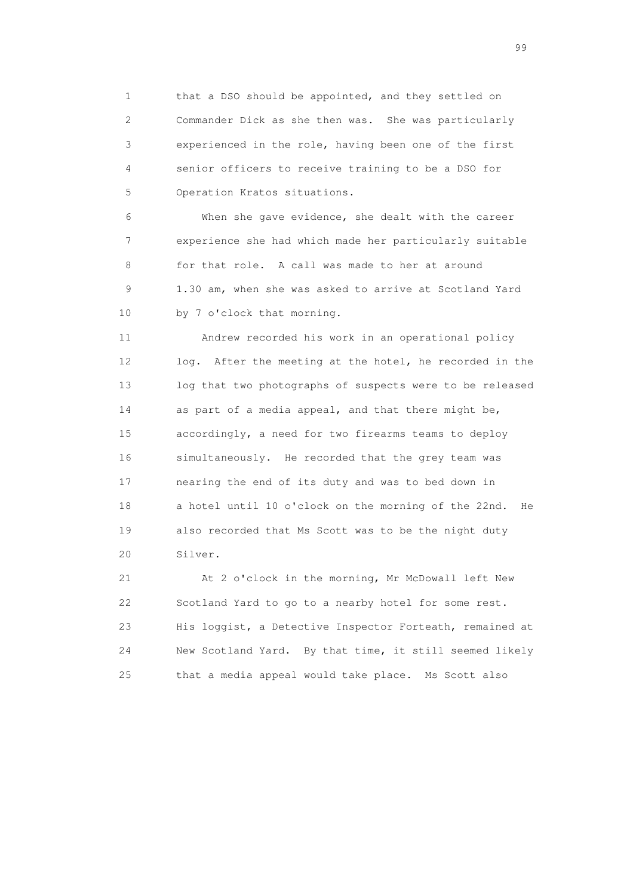1 that a DSO should be appointed, and they settled on 2 Commander Dick as she then was. She was particularly 3 experienced in the role, having been one of the first 4 senior officers to receive training to be a DSO for 5 Operation Kratos situations.

 6 When she gave evidence, she dealt with the career 7 experience she had which made her particularly suitable 8 for that role. A call was made to her at around 9 1.30 am, when she was asked to arrive at Scotland Yard 10 by 7 o'clock that morning.

 11 Andrew recorded his work in an operational policy 12 log. After the meeting at the hotel, he recorded in the 13 log that two photographs of suspects were to be released 14 as part of a media appeal, and that there might be, 15 accordingly, a need for two firearms teams to deploy 16 simultaneously. He recorded that the grey team was 17 nearing the end of its duty and was to bed down in 18 a hotel until 10 o'clock on the morning of the 22nd. He 19 also recorded that Ms Scott was to be the night duty 20 Silver.

 21 At 2 o'clock in the morning, Mr McDowall left New 22 Scotland Yard to go to a nearby hotel for some rest. 23 His loggist, a Detective Inspector Forteath, remained at 24 New Scotland Yard. By that time, it still seemed likely 25 that a media appeal would take place. Ms Scott also

en de la construction de la construction de la construction de la construction de la construction de la constr<br>1990 : la construction de la construction de la construction de la construction de la construction de la const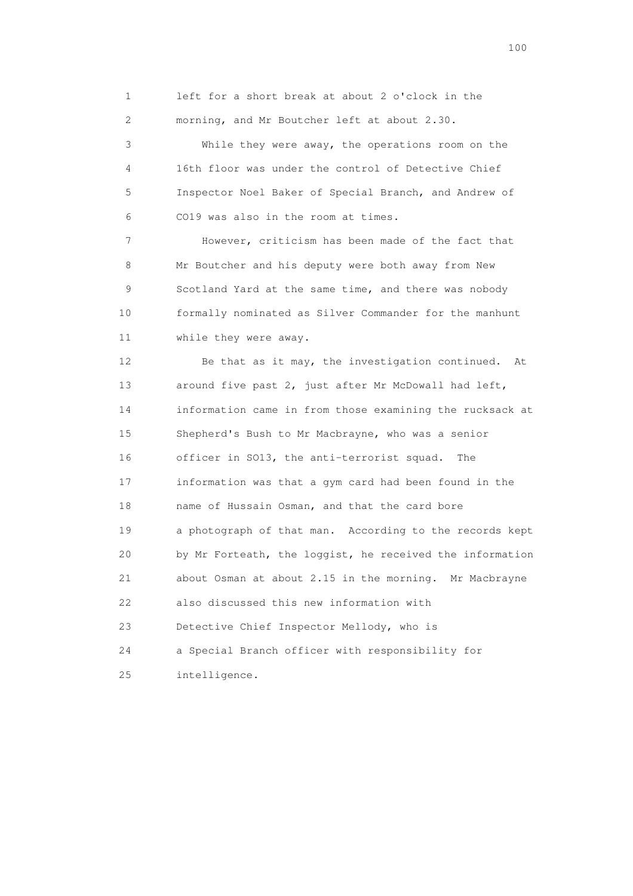1 left for a short break at about 2 o'clock in the 2 morning, and Mr Boutcher left at about 2.30.

 3 While they were away, the operations room on the 4 16th floor was under the control of Detective Chief 5 Inspector Noel Baker of Special Branch, and Andrew of 6 CO19 was also in the room at times.

 7 However, criticism has been made of the fact that 8 Mr Boutcher and his deputy were both away from New 9 Scotland Yard at the same time, and there was nobody 10 formally nominated as Silver Commander for the manhunt 11 while they were away.

 12 Be that as it may, the investigation continued. At 13 around five past 2, just after Mr McDowall had left, 14 information came in from those examining the rucksack at 15 Shepherd's Bush to Mr Macbrayne, who was a senior 16 officer in SO13, the anti-terrorist squad. The 17 information was that a gym card had been found in the 18 name of Hussain Osman, and that the card bore 19 a photograph of that man. According to the records kept 20 by Mr Forteath, the loggist, he received the information 21 about Osman at about 2.15 in the morning. Mr Macbrayne 22 also discussed this new information with 23 Detective Chief Inspector Mellody, who is 24 a Special Branch officer with responsibility for 25 intelligence.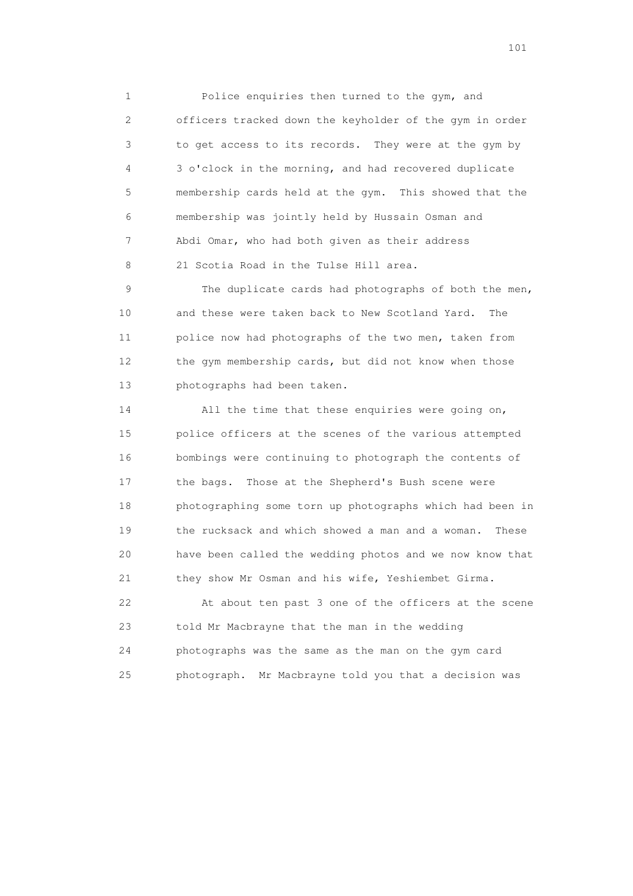1 Police enquiries then turned to the gym, and 2 officers tracked down the keyholder of the gym in order 3 to get access to its records. They were at the gym by 4 3 o'clock in the morning, and had recovered duplicate 5 membership cards held at the gym. This showed that the 6 membership was jointly held by Hussain Osman and 7 Abdi Omar, who had both given as their address 8 21 Scotia Road in the Tulse Hill area.

 9 The duplicate cards had photographs of both the men, 10 and these were taken back to New Scotland Yard. The 11 police now had photographs of the two men, taken from 12 the gym membership cards, but did not know when those 13 photographs had been taken.

 14 All the time that these enquiries were going on, 15 police officers at the scenes of the various attempted 16 bombings were continuing to photograph the contents of 17 the bags. Those at the Shepherd's Bush scene were 18 photographing some torn up photographs which had been in 19 the rucksack and which showed a man and a woman. These 20 have been called the wedding photos and we now know that 21 they show Mr Osman and his wife, Yeshiembet Girma.

 22 At about ten past 3 one of the officers at the scene 23 told Mr Macbrayne that the man in the wedding 24 photographs was the same as the man on the gym card 25 photograph. Mr Macbrayne told you that a decision was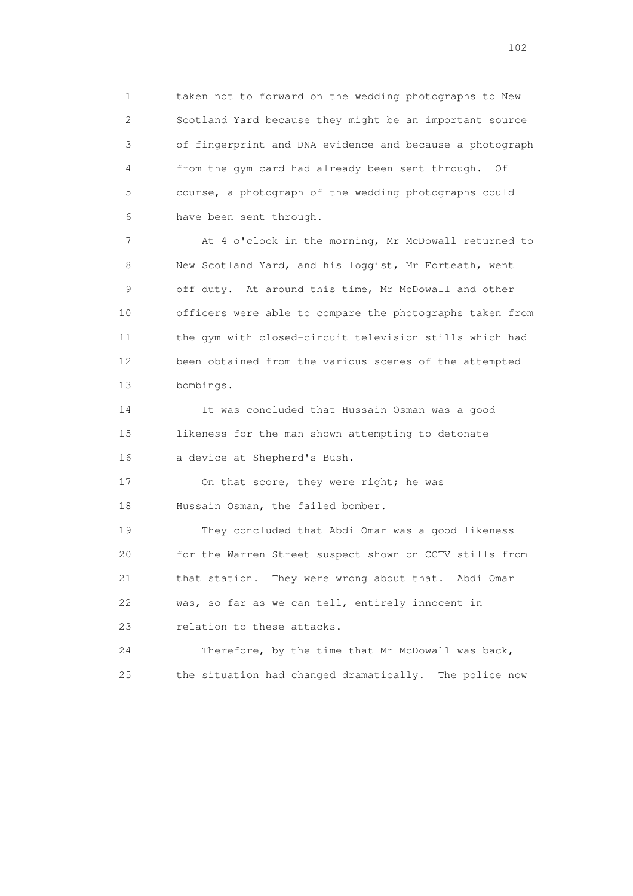1 taken not to forward on the wedding photographs to New 2 Scotland Yard because they might be an important source 3 of fingerprint and DNA evidence and because a photograph 4 from the gym card had already been sent through. Of 5 course, a photograph of the wedding photographs could 6 have been sent through.

 7 At 4 o'clock in the morning, Mr McDowall returned to 8 New Scotland Yard, and his loggist, Mr Forteath, went 9 off duty. At around this time, Mr McDowall and other 10 officers were able to compare the photographs taken from 11 the gym with closed-circuit television stills which had 12 been obtained from the various scenes of the attempted 13 bombings.

 14 It was concluded that Hussain Osman was a good 15 likeness for the man shown attempting to detonate 16 a device at Shepherd's Bush.

17 On that score, they were right; he was 18 Hussain Osman, the failed bomber.

 19 They concluded that Abdi Omar was a good likeness 20 for the Warren Street suspect shown on CCTV stills from 21 that station. They were wrong about that. Abdi Omar 22 was, so far as we can tell, entirely innocent in 23 relation to these attacks.

 24 Therefore, by the time that Mr McDowall was back, 25 the situation had changed dramatically. The police now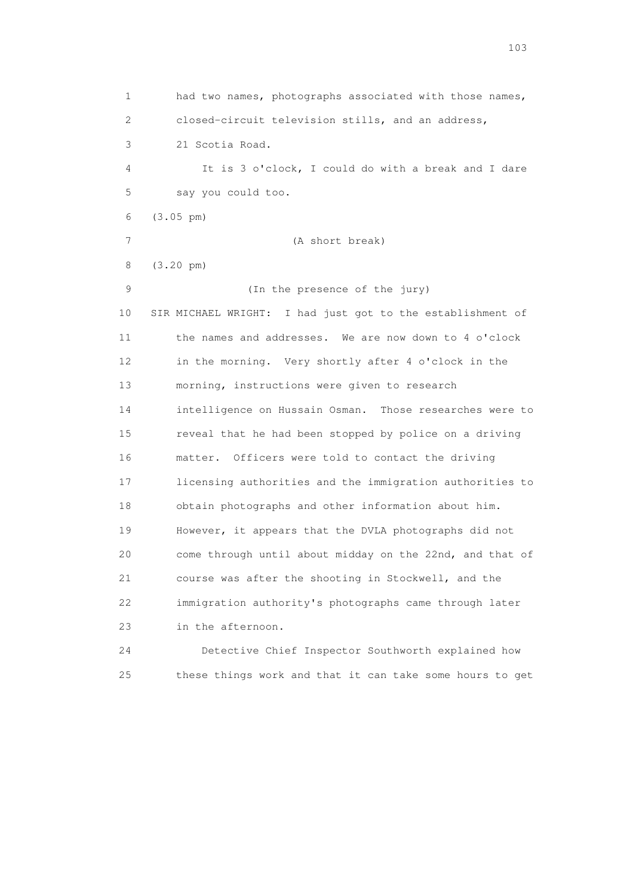1 had two names, photographs associated with those names, 2 closed-circuit television stills, and an address, 3 21 Scotia Road. 4 It is 3 o'clock, I could do with a break and I dare 5 say you could too. 6 (3.05 pm) 7 (A short break) 8 (3.20 pm) 9 (In the presence of the jury) 10 SIR MICHAEL WRIGHT: I had just got to the establishment of 11 the names and addresses. We are now down to 4 o'clock 12 in the morning. Very shortly after 4 o'clock in the 13 morning, instructions were given to research 14 intelligence on Hussain Osman. Those researches were to 15 reveal that he had been stopped by police on a driving 16 matter. Officers were told to contact the driving 17 licensing authorities and the immigration authorities to 18 obtain photographs and other information about him. 19 However, it appears that the DVLA photographs did not 20 come through until about midday on the 22nd, and that of 21 course was after the shooting in Stockwell, and the 22 immigration authority's photographs came through later 23 in the afternoon. 24 Detective Chief Inspector Southworth explained how

25 these things work and that it can take some hours to get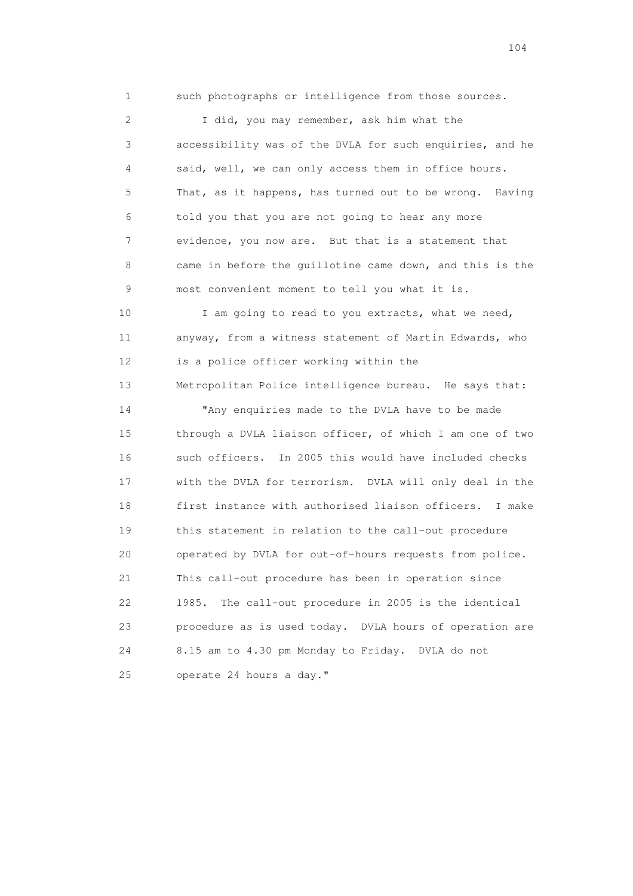1 such photographs or intelligence from those sources.

 2 I did, you may remember, ask him what the 3 accessibility was of the DVLA for such enquiries, and he 4 said, well, we can only access them in office hours. 5 That, as it happens, has turned out to be wrong. Having 6 told you that you are not going to hear any more 7 evidence, you now are. But that is a statement that 8 came in before the guillotine came down, and this is the 9 most convenient moment to tell you what it is.

10 I am going to read to you extracts, what we need, 11 anyway, from a witness statement of Martin Edwards, who 12 is a police officer working within the

13 Metropolitan Police intelligence bureau. He says that:

 14 "Any enquiries made to the DVLA have to be made 15 through a DVLA liaison officer, of which I am one of two 16 such officers. In 2005 this would have included checks 17 with the DVLA for terrorism. DVLA will only deal in the 18 first instance with authorised liaison officers. I make 19 this statement in relation to the call-out procedure 20 operated by DVLA for out-of-hours requests from police. 21 This call-out procedure has been in operation since 22 1985. The call-out procedure in 2005 is the identical 23 procedure as is used today. DVLA hours of operation are 24 8.15 am to 4.30 pm Monday to Friday. DVLA do not 25 operate 24 hours a day."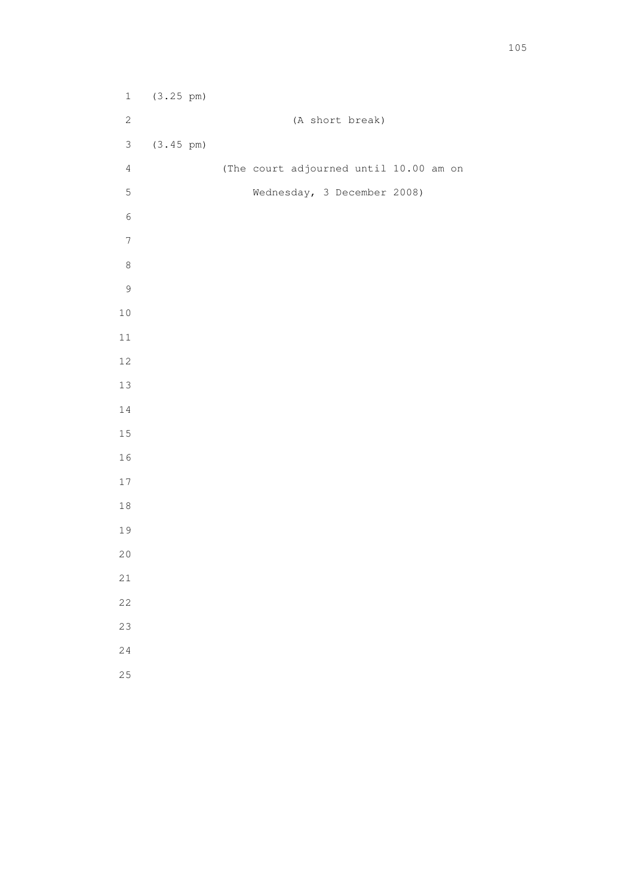1 (3.25 pm) 2 (A short break) 3 (3.45 pm) 4 (The court adjourned until 10.00 am on 5 Wednesday, 3 December 2008)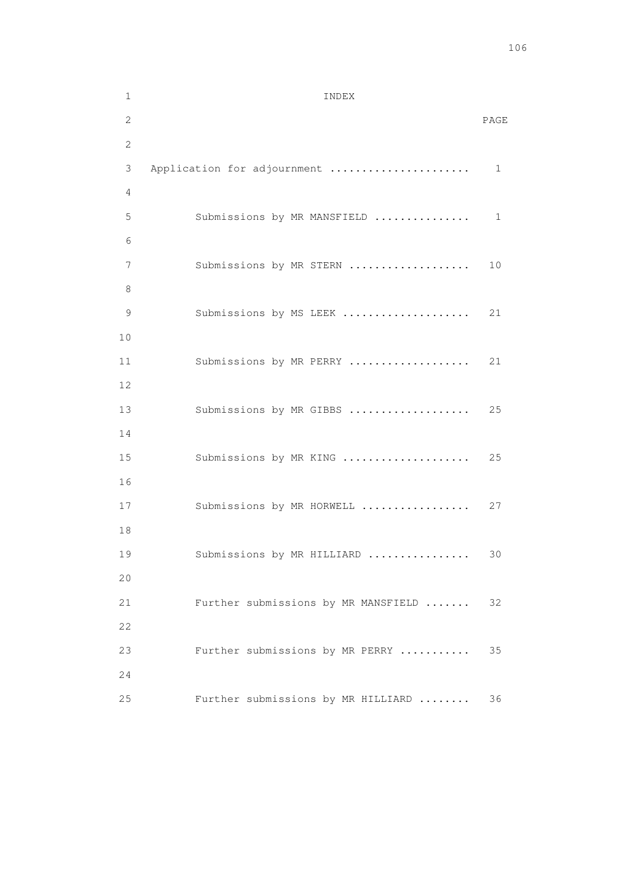| $\mathbf 1$  | INDEX                               |      |
|--------------|-------------------------------------|------|
| 2            |                                     | PAGE |
| $\mathbf{2}$ |                                     |      |
| 3            | Application for adjournment         | 1    |
| 4            |                                     |      |
| 5            | Submissions by MR MANSFIELD         | 1    |
| 6            |                                     |      |
| 7            | Submissions by MR STERN             | 10   |
| 8            |                                     |      |
| 9            | Submissions by MS LEEK              | 21   |
| 10           |                                     |      |
| 11           | Submissions by MR PERRY             | 21   |
| 12           |                                     |      |
| 13<br>14     | Submissions by MR GIBBS             | 25   |
| 15           | Submissions by MR KING              | 25   |
| 16           |                                     |      |
| 17           | Submissions by MR HORWELL           | 27   |
| 18           |                                     |      |
| 19           | Submissions by MR HILLIARD          | 30   |
| 20           |                                     |      |
| 21           | Further submissions by MR MANSFIELD | 32   |
| 22           |                                     |      |
| 23           | Further submissions by MR PERRY     | 35   |
| 24           |                                     |      |
| 25           | Further submissions by MR HILLIARD  | 36   |